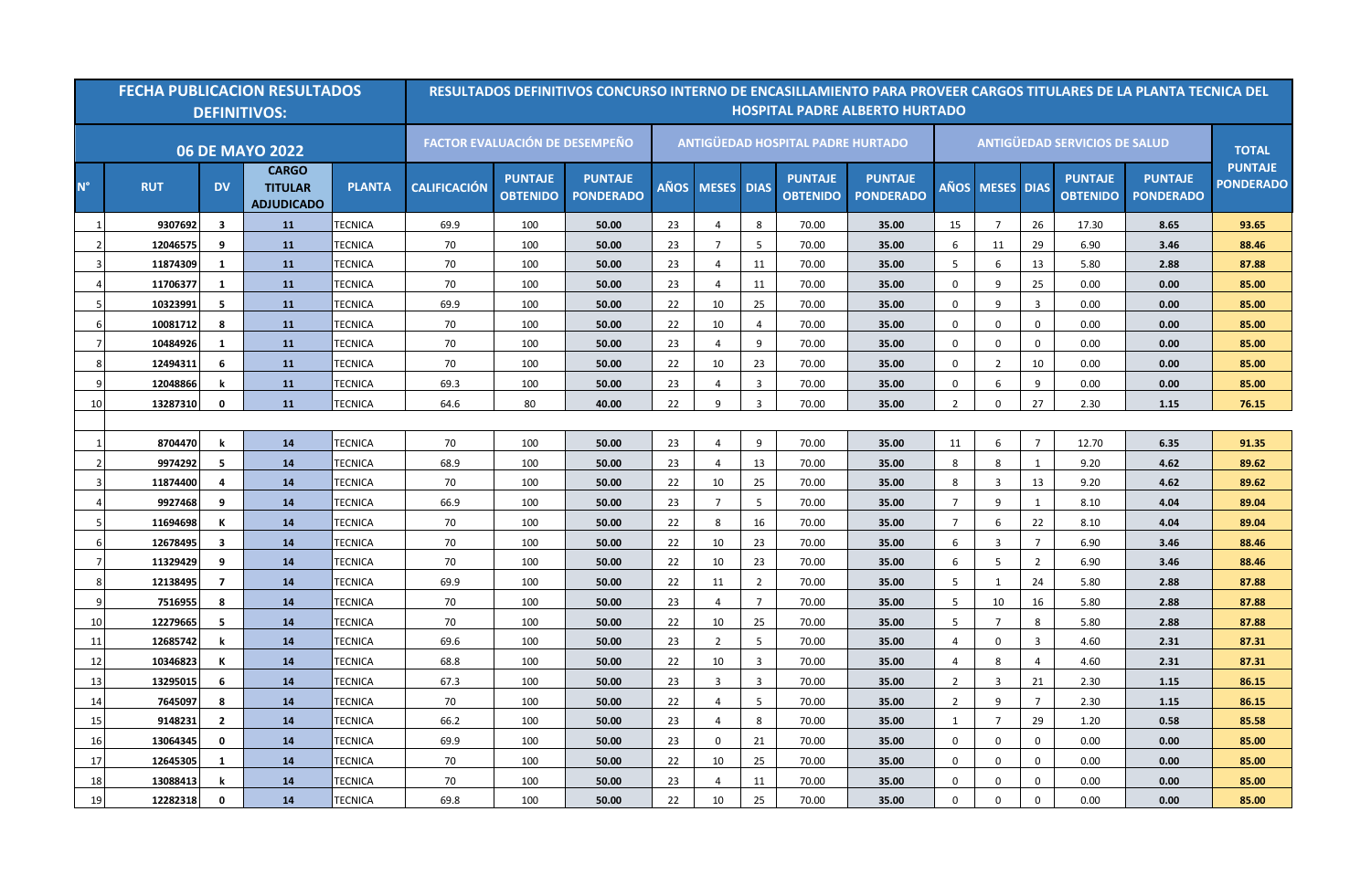|             |            |                         | <b>FECHA PUBLICACION RESULTADOS</b><br><b>DEFINITIVOS:</b> |                |                     |                                   | RESULTADOS DEFINITIVOS CONCURSO INTERNO DE ENCASILLAMIENTO PARA PROVEER CARGOS TITULARES DE LA PLANTA TECNICA DEL |    |                 |                 |                                          | <b>HOSPITAL PADRE ALBERTO HURTADO</b> |                  |                   |                |                                      |                                    |                                    |
|-------------|------------|-------------------------|------------------------------------------------------------|----------------|---------------------|-----------------------------------|-------------------------------------------------------------------------------------------------------------------|----|-----------------|-----------------|------------------------------------------|---------------------------------------|------------------|-------------------|----------------|--------------------------------------|------------------------------------|------------------------------------|
|             |            |                         | <b>06 DE MAYO 2022</b>                                     |                |                     |                                   | <b>FACTOR EVALUACIÓN DE DESEMPEÑO</b>                                                                             |    |                 |                 | <b>ANTIGÜEDAD HOSPITAL PADRE HURTADO</b> |                                       |                  |                   |                | <b>ANTIGÜEDAD SERVICIOS DE SALUD</b> |                                    | <b>TOTAL</b>                       |
| $N^{\circ}$ | <b>RUT</b> | <b>DV</b>               | <b>CARGO</b><br><b>TITULAR</b><br><b>ADJUDICADO</b>        | <b>PLANTA</b>  | <b>CALIFICACIÓN</b> | <b>PUNTAJE</b><br><b>OBTENIDO</b> | <b>PUNTAJE</b><br><b>PONDERADO</b>                                                                                |    | AÑOS MESES DIAS |                 | <b>PUNTAJE</b><br><b>OBTENIDO</b>        | <b>PUNTAJE</b><br><b>PONDERADO</b>    | AÑOS             | <b>MESES DIAS</b> |                | <b>PUNTAJE</b><br><b>OBTENIDO</b>    | <b>PUNTAJE</b><br><b>PONDERADO</b> | <b>PUNTAJE</b><br><b>PONDERADO</b> |
|             | 9307692    | $\overline{\mathbf{3}}$ | <b>11</b>                                                  | <b>TECNICA</b> | 69.9                | 100                               | 50.00                                                                                                             | 23 | $\overline{4}$  | 8               | 70.00                                    | 35.00                                 | 15               | $\overline{7}$    | 26             | 17.30                                | 8.65                               | 93.65                              |
|             | 12046575   | 9                       | 11                                                         | <b>TECNICA</b> | 70                  | 100                               | 50.00                                                                                                             | 23 | $7\overline{ }$ | 5               | 70.00                                    | 35.00                                 | 6                | 11                | 29             | 6.90                                 | 3.46                               | 88.46                              |
|             | 11874309   | 1                       | <b>11</b>                                                  | <b>TECNICA</b> | 70                  | 100                               | 50.00                                                                                                             | 23 | $\overline{4}$  | 11              | 70.00                                    | 35.00                                 | 5                | 6                 | 13             | 5.80                                 | 2.88                               | 87.88                              |
|             | 11706377   | 1                       | <b>11</b>                                                  | TECNICA        | 70                  | 100                               | 50.00                                                                                                             | 23 | $\overline{4}$  | 11              | 70.00                                    | 35.00                                 | $\mathbf 0$      | 9                 | 25             | 0.00                                 | 0.00                               | 85.00                              |
|             | 10323991   | 5                       | 11                                                         | <b>TECNICA</b> | 69.9                | 100                               | 50.00                                                                                                             | 22 | 10              | 25              | 70.00                                    | 35.00                                 | $\mathbf 0$      | 9                 | $\overline{3}$ | 0.00                                 | 0.00                               | 85.00                              |
|             | 10081712   | 8                       | <b>11</b>                                                  | <b>TECNICA</b> | 70                  | 100                               | 50.00                                                                                                             | 22 | 10              | $\overline{4}$  | 70.00                                    | 35.00                                 | $\mathbf 0$      | $\mathbf 0$       | $\mathbf{0}$   | 0.00                                 | 0.00                               | 85.00                              |
| 7           | 10484926   | 1                       | <b>11</b>                                                  | <b>TECNICA</b> | 70                  | 100                               | 50.00                                                                                                             | 23 | $\overline{4}$  | 9               | 70.00                                    | 35.00                                 | $\mathbf 0$      | $\mathbf 0$       | $\mathbf 0$    | 0.00                                 | 0.00                               | 85.00                              |
|             | 12494311   | -6                      | <b>11</b>                                                  | TECNICA        | 70                  | 100                               | 50.00                                                                                                             | 22 | 10              | 23              | 70.00                                    | 35.00                                 | $\mathbf 0$      | 2                 | 10             | 0.00                                 | 0.00                               | 85.00                              |
|             | 12048866   | k                       | 11                                                         | TECNICA        | 69.3                | 100                               | 50.00                                                                                                             | 23 | $\overline{4}$  | $\overline{3}$  | 70.00                                    | 35.00                                 | $\mathbf 0$      | 6                 | 9              | 0.00                                 | 0.00                               | 85.00                              |
| 10          | 13287310   | $\mathbf{0}$            | <b>11</b>                                                  | <b>TECNICA</b> | 64.6                | 80                                | 40.00                                                                                                             | 22 | 9               | $\overline{3}$  | 70.00                                    | 35.00                                 | $\overline{2}$   | $\mathbf 0$       | 27             | 2.30                                 | 1.15                               | 76.15                              |
|             |            |                         |                                                            |                |                     |                                   |                                                                                                                   |    |                 |                 |                                          |                                       |                  |                   |                |                                      |                                    |                                    |
|             | 8704470    | k                       | 14                                                         | <b>TECNICA</b> | 70                  | 100                               | 50.00                                                                                                             | 23 | $\overline{4}$  | 9               | 70.00                                    | 35.00                                 | 11               | 6                 | $\overline{7}$ | 12.70                                | 6.35                               | 91.35                              |
|             | 9974292    | 5                       | 14                                                         | <b>TECNICA</b> | 68.9                | 100                               | 50.00                                                                                                             | 23 | $\overline{4}$  | 13              | 70.00                                    | 35.00                                 | 8                | 8                 | 1              | 9.20                                 | 4.62                               | 89.62                              |
|             | 11874400   | 4                       | 14                                                         | <b>TECNICA</b> | 70                  | 100                               | 50.00                                                                                                             | 22 | 10              | 25              | 70.00                                    | 35.00                                 | 8                | 3                 | 13             | 9.20                                 | 4.62                               | 89.62                              |
|             | 9927468    | 9                       | 14                                                         | <b>TECNICA</b> | 66.9                | 100                               | 50.00                                                                                                             | 23 | $\overline{7}$  | $5\overline{5}$ | 70.00                                    | 35.00                                 | $\overline{7}$   | 9                 | $\mathbf{1}$   | 8.10                                 | 4.04                               | 89.04                              |
|             | 11694698   | К                       | 14                                                         | <b>TECNICA</b> | 70                  | 100                               | 50.00                                                                                                             | 22 | 8               | 16              | 70.00                                    | 35.00                                 | $\overline{7}$   | 6                 | 22             | 8.10                                 | 4.04                               | 89.04                              |
|             | 12678495   | $\overline{\mathbf{3}}$ | 14                                                         | <b>TECNICA</b> | 70                  | 100                               | 50.00                                                                                                             | 22 | 10              | 23              | 70.00                                    | 35.00                                 | 6                | 3                 | $\overline{7}$ | 6.90                                 | 3.46                               | 88.46                              |
|             | 11329429   | 9                       | 14                                                         | <b>TECNICA</b> | 70                  | 100                               | 50.00                                                                                                             | 22 | 10              | 23              | 70.00                                    | 35.00                                 | 6                | 5                 | $\overline{2}$ | 6.90                                 | 3.46                               | 88.46                              |
|             | 12138495   | $\overline{7}$          | 14                                                         | <b>TECNICA</b> | 69.9                | 100                               | 50.00                                                                                                             | 22 | 11              | $\overline{2}$  | 70.00                                    | 35.00                                 | 5                | $\mathbf{1}$      | 24             | 5.80                                 | 2.88                               | 87.88                              |
|             | 7516955    | 8                       | 14                                                         | <b>TECNICA</b> | 70                  | 100                               | 50.00                                                                                                             | 23 | $\overline{4}$  | $7\overline{ }$ | 70.00                                    | 35.00                                 | 5                | 10                | 16             | 5.80                                 | 2.88                               | 87.88                              |
| 10          | 12279665   | 5                       | 14                                                         | <b>TECNICA</b> | 70                  | 100                               | 50.00                                                                                                             | 22 | 10              | 25              | 70.00                                    | 35.00                                 | 5                | $\overline{7}$    | 8              | 5.80                                 | 2.88                               | 87.88                              |
| -11         | 12685742   | k                       | 14                                                         | TECNICA        | 69.6                | 100                               | 50.00                                                                                                             | 23 | $\overline{2}$  | 5               | 70.00                                    | 35.00                                 | $\overline{4}$   | 0                 | $\overline{3}$ | 4.60                                 | 2.31                               | 87.31                              |
| 12          | 10346823   | К                       | 14                                                         | <b>TECNICA</b> | 68.8                | 100                               | 50.00                                                                                                             | 22 | 10              | $\overline{3}$  | 70.00                                    | 35.00                                 | $\overline{4}$   | 8                 | $\overline{4}$ | 4.60                                 | 2.31                               | 87.31                              |
| 13          | 13295015   | 6                       | 14                                                         | <b>TECNICA</b> | 67.3                | 100                               | 50.00                                                                                                             | 23 | $\overline{3}$  | $\overline{3}$  | 70.00                                    | 35.00                                 | $\overline{2}$   | 3                 | 21             | 2.30                                 | 1.15                               | 86.15                              |
| 14          | 7645097    | 8                       | 14                                                         | <b>TECNICA</b> | 70                  | 100                               | 50.00                                                                                                             | 22 | $\overline{4}$  | 5               | 70.00                                    | 35.00                                 | $\overline{2}$   | 9                 | $\overline{7}$ | 2.30                                 | 1.15                               | 86.15                              |
| 15          | 9148231    | $\overline{2}$          | 14                                                         | <b>TECNICA</b> | 66.2                | 100                               | 50.00                                                                                                             | 23 | $\overline{4}$  | 8               | 70.00                                    | 35.00                                 | $\mathbf{1}$     | $\overline{7}$    | 29             | 1.20                                 | 0.58                               | 85.58                              |
| 16          | 13064345   | 0                       | 14                                                         | <b>TECNICA</b> | 69.9                | 100                               | 50.00                                                                                                             | 23 | $\mathbf 0$     | 21              | 70.00                                    | 35.00                                 | $\mathbf 0$      | $\mathbf 0$       | $\mathbf 0$    | 0.00                                 | 0.00                               | 85.00                              |
| 17          | 12645305   | 1                       | 14                                                         | <b>TECNICA</b> | 70                  | 100                               | 50.00                                                                                                             | 22 | 10              | 25              | 70.00                                    | 35.00                                 | $\boldsymbol{0}$ | $\mathbf 0$       | $\mathbf 0$    | 0.00                                 | 0.00                               | 85.00                              |
| 18          | 13088413   | k                       | 14                                                         | <b>TECNICA</b> | 70                  | 100                               | 50.00                                                                                                             | 23 | $\overline{4}$  | 11              | 70.00                                    | 35.00                                 | $\mathbf 0$      | $\mathbf 0$       | $\mathbf 0$    | 0.00                                 | 0.00                               | 85.00                              |
| 19          | 12282318   | 0                       | 14                                                         | <b>TECNICA</b> | 69.8                | 100                               | 50.00                                                                                                             | 22 | 10              | 25              | 70.00                                    | 35.00                                 | $\mathbf 0$      | $\mathbf 0$       | $\mathbf 0$    | 0.00                                 | 0.00                               | 85.00                              |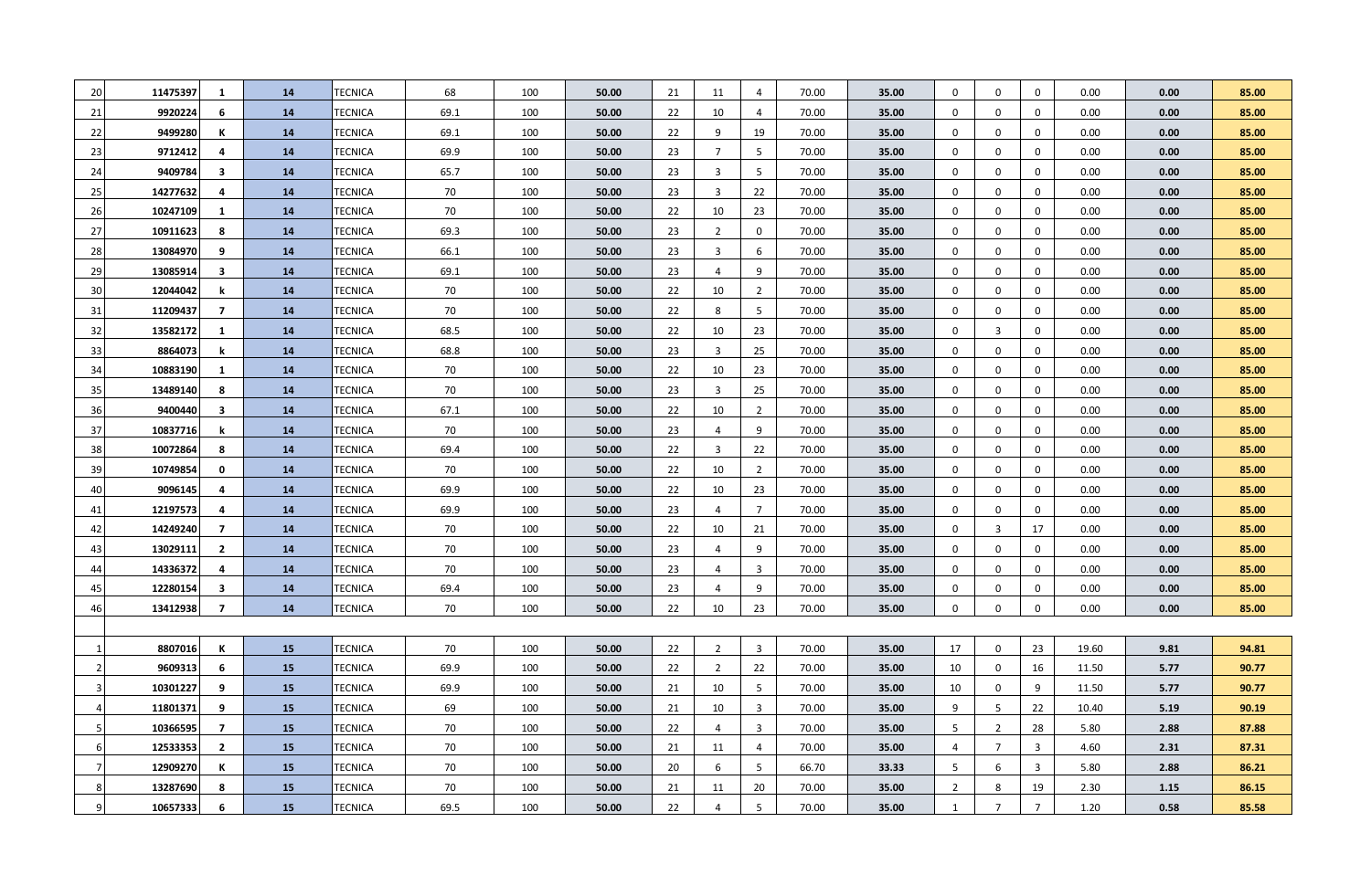| 20 | 11475397 | 1                       | 14 | TECNICA        | 68   | 100 | 50.00 | 21 | 11             | $\overline{4}$ | 70.00 | 35.00 | $\mathbf 0$    | 0              | $\mathbf 0$    | 0.00  | 0.00 | 85.00 |
|----|----------|-------------------------|----|----------------|------|-----|-------|----|----------------|----------------|-------|-------|----------------|----------------|----------------|-------|------|-------|
| 21 | 9920224  | 6                       | 14 | TECNICA        | 69.1 | 100 | 50.00 | 22 | 10             | $\overline{4}$ | 70.00 | 35.00 | $\mathbf 0$    | $\mathbf 0$    | $\mathbf 0$    | 0.00  | 0.00 | 85.00 |
| 22 | 9499280  | К                       | 14 | TECNICA        | 69.1 | 100 | 50.00 | 22 | 9              | 19             | 70.00 | 35.00 | $\mathbf 0$    | 0              | $\mathbf 0$    | 0.00  | 0.00 | 85.00 |
| 23 | 9712412  | 4                       | 14 | <b>TECNICA</b> | 69.9 | 100 | 50.00 | 23 | $\overline{7}$ | 5              | 70.00 | 35.00 | 0              | 0              | $\mathbf 0$    | 0.00  | 0.00 | 85.00 |
| 24 | 9409784  | 3                       | 14 | TECNICA        | 65.7 | 100 | 50.00 | 23 | 3              | 5              | 70.00 | 35.00 | 0              | 0              | $\mathbf 0$    | 0.00  | 0.00 | 85.00 |
| 25 | 14277632 | 4                       | 14 | TECNICA        | 70   | 100 | 50.00 | 23 | 3              | 22             | 70.00 | 35.00 | 0              | 0              | $\mathbf 0$    | 0.00  | 0.00 | 85.00 |
| 26 | 10247109 | 1                       | 14 | TECNICA        | 70   | 100 | 50.00 | 22 | 10             | 23             | 70.00 | 35.00 | $\mathbf 0$    | 0              | $\mathbf 0$    | 0.00  | 0.00 | 85.00 |
| 27 | 10911623 | 8                       | 14 | TECNICA        | 69.3 | 100 | 50.00 | 23 | $\overline{2}$ | $\mathbf 0$    | 70.00 | 35.00 | $\mathbf 0$    | $\mathbf 0$    | $\mathbf 0$    | 0.00  | 0.00 | 85.00 |
| 28 | 13084970 | 9                       | 14 | TECNICA        | 66.1 | 100 | 50.00 | 23 | $\overline{3}$ | 6              | 70.00 | 35.00 | $\mathbf 0$    | 0              | $\mathbf 0$    | 0.00  | 0.00 | 85.00 |
| 29 | 13085914 | $\overline{\mathbf{3}}$ | 14 | TECNICA        | 69.1 | 100 | 50.00 | 23 | $\overline{4}$ | 9              | 70.00 | 35.00 | $\mathbf 0$    | 0              | $\mathbf 0$    | 0.00  | 0.00 | 85.00 |
| 30 | 12044042 | k                       | 14 | TECNICA        | 70   | 100 | 50.00 | 22 | 10             | $\overline{2}$ | 70.00 | 35.00 | $\bf{0}$       | $\mathbf 0$    | $\mathbf 0$    | 0.00  | 0.00 | 85.00 |
| 31 | 11209437 | 7                       | 14 | TECNICA        | 70   | 100 | 50.00 | 22 | 8              | 5              | 70.00 | 35.00 | $\bf{0}$       | 0              | $\mathbf 0$    | 0.00  | 0.00 | 85.00 |
| 32 | 13582172 | 1                       | 14 | TECNICA        | 68.5 | 100 | 50.00 | 22 | 10             | 23             | 70.00 | 35.00 | $\bf{0}$       | $\overline{3}$ | $\mathbf 0$    | 0.00  | 0.00 | 85.00 |
| 33 | 8864073  | k                       | 14 | TECNICA        | 68.8 | 100 | 50.00 | 23 | $\overline{3}$ | 25             | 70.00 | 35.00 | $\bf{0}$       | $\mathbf 0$    | $\mathbf 0$    | 0.00  | 0.00 | 85.00 |
| 34 | 10883190 | 1                       | 14 | TECNICA        | 70   | 100 | 50.00 | 22 | 10             | 23             | 70.00 | 35.00 | $\bf{0}$       | 0              | $\bf{0}$       | 0.00  | 0.00 | 85.00 |
| 35 | 13489140 | 8                       | 14 | TECNICA        | 70   | 100 | 50.00 | 23 | 3              | 25             | 70.00 | 35.00 | $\mathbf 0$    | 0              | $\mathbf 0$    | 0.00  | 0.00 | 85.00 |
| 36 | 9400440  | 3                       | 14 | TECNICA        | 67.1 | 100 | 50.00 | 22 | 10             | $\overline{2}$ | 70.00 | 35.00 | $\mathbf 0$    | $\mathbf 0$    | $\mathbf 0$    | 0.00  | 0.00 | 85.00 |
| 37 | 10837716 | k                       | 14 | <b>TECNICA</b> | 70   | 100 | 50.00 | 23 | 4              | 9              | 70.00 | 35.00 | $\mathbf 0$    | $\mathbf 0$    | $\mathbf 0$    | 0.00  | 0.00 | 85.00 |
| 38 | 10072864 | 8                       | 14 | <b>TECNICA</b> | 69.4 | 100 | 50.00 | 22 | $\overline{3}$ | 22             | 70.00 | 35.00 | $\mathbf 0$    | $\mathbf 0$    | $\mathbf 0$    | 0.00  | 0.00 | 85.00 |
| 39 | 10749854 | 0                       | 14 | <b>TECNICA</b> | 70   | 100 | 50.00 | 22 | 10             | $\overline{2}$ | 70.00 | 35.00 | $\mathbf 0$    | $\mathbf 0$    | $\mathbf 0$    | 0.00  | 0.00 | 85.00 |
| 40 | 9096145  | 4                       | 14 | <b>TECNICA</b> | 69.9 | 100 | 50.00 | 22 | 10             | 23             | 70.00 | 35.00 | $\mathbf 0$    | $\mathbf 0$    | $\mathbf 0$    | 0.00  | 0.00 | 85.00 |
| 41 | 12197573 | 4                       | 14 | <b>TECNICA</b> | 69.9 | 100 | 50.00 | 23 | 4              | $\overline{7}$ | 70.00 | 35.00 | $\mathbf 0$    | $\mathbf 0$    | $\mathbf 0$    | 0.00  | 0.00 | 85.00 |
| 42 | 14249240 | $\overline{7}$          | 14 | <b>TECNICA</b> | 70   | 100 | 50.00 | 22 | 10             | 21             | 70.00 | 35.00 | $\mathbf 0$    | $\overline{3}$ | 17             | 0.00  | 0.00 | 85.00 |
| 43 | 13029111 | $\mathbf{2}$            | 14 | <b>TECNICA</b> | 70   | 100 | 50.00 | 23 | 4              | 9              | 70.00 | 35.00 | $\mathbf 0$    | $\mathbf 0$    | $\mathbf 0$    | 0.00  | 0.00 | 85.00 |
| 44 | 14336372 | 4                       | 14 | TECNICA        | 70   | 100 | 50.00 | 23 | 4              | 3              | 70.00 | 35.00 | $\mathbf 0$    | $\mathbf 0$    | $\mathbf 0$    | 0.00  | 0.00 | 85.00 |
| 45 | 12280154 | 3                       | 14 | TECNICA        | 69.4 | 100 | 50.00 | 23 | $\overline{4}$ | 9              | 70.00 | 35.00 | $\mathbf 0$    | $\Omega$       | $\mathbf 0$    | 0.00  | 0.00 | 85.00 |
| 46 | 13412938 | $\overline{7}$          | 14 | TECNICA        | 70   | 100 | 50.00 | 22 | 10             | 23             | 70.00 | 35.00 | $\mathbf 0$    | $\mathbf 0$    | $\mathbf 0$    | 0.00  | 0.00 | 85.00 |
|    |          |                         |    |                |      |     |       |    |                |                |       |       |                |                |                |       |      |       |
|    | 8807016  | к                       | 15 | TECNICA        | 70   | 100 | 50.00 | 22 | $\overline{2}$ | $\overline{3}$ | 70.00 | 35.00 | 17             | 0              | 23             | 19.60 | 9.81 | 94.81 |
|    | 9609313  | 6                       | 15 | TECNICA        | 69.9 | 100 | 50.00 | 22 | $\overline{2}$ | 22             | 70.00 | 35.00 | 10             | 0              | 16             | 11.50 | 5.77 | 90.77 |
|    | 10301227 | 9                       | 15 | TECNICA        | 69.9 | 100 | 50.00 | 21 | 10             | 5              | 70.00 | 35.00 | 10             | 0              | 9              | 11.50 | 5.77 | 90.77 |
|    | 11801371 | 9                       | 15 | TECNICA        | 69   | 100 | 50.00 | 21 | 10             | 3              | 70.00 | 35.00 | 9              | 5              | 22             | 10.40 | 5.19 | 90.19 |
|    | 10366595 | 7                       | 15 | TECNICA        | 70   | 100 | 50.00 | 22 | $\overline{4}$ | 3              | 70.00 | 35.00 | 5              | $\overline{2}$ | 28             | 5.80  | 2.88 | 87.88 |
|    | 12533353 | $\overline{2}$          | 15 | TECNICA        | 70   | 100 | 50.00 | 21 | 11             | $\overline{4}$ | 70.00 | 35.00 | 4              | $\overline{7}$ | $\overline{3}$ | 4.60  | 2.31 | 87.31 |
|    | 12909270 | К                       | 15 | TECNICA        | 70   | 100 | 50.00 | 20 | 6              | 5              | 66.70 | 33.33 | 5              | 6              | $\overline{3}$ | 5.80  | 2.88 | 86.21 |
|    | 13287690 | 8                       | 15 | TECNICA        | 70   | 100 | 50.00 | 21 | 11             | 20             | 70.00 | 35.00 | $\overline{2}$ | 8              | 19             | 2.30  | 1.15 | 86.15 |
| 9  | 10657333 | 6                       | 15 | <b>TECNICA</b> | 69.5 | 100 | 50.00 | 22 | $\overline{4}$ | 5              | 70.00 | 35.00 | $\mathbf{1}$   | $\overline{7}$ | $\overline{7}$ | 1.20  | 0.58 | 85.58 |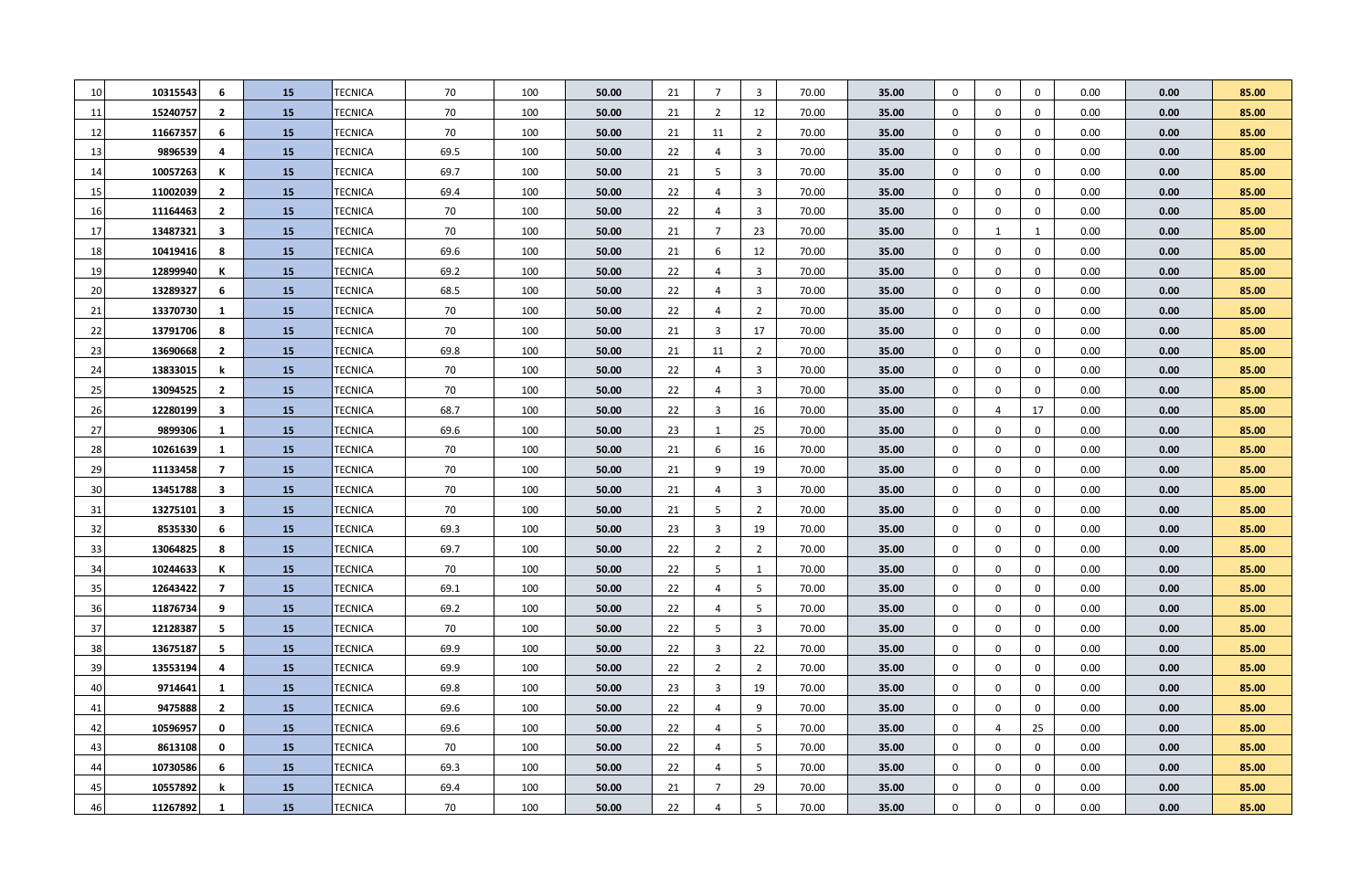| 10 | 10315543 | 6              | 15        | TECNICA        | 70   | 100 | 50.00 | 21 | $\overline{7}$ | $\overline{3}$ | 70.00 | 35.00 | $\mathbf 0$      | 0            | $\mathbf 0$  | 0.00 | 0.00 | 85.00 |
|----|----------|----------------|-----------|----------------|------|-----|-------|----|----------------|----------------|-------|-------|------------------|--------------|--------------|------|------|-------|
| 11 | 15240757 | $\overline{2}$ | 15        | TECNICA        | 70   | 100 | 50.00 | 21 | $\overline{2}$ | 12             | 70.00 | 35.00 | $\mathbf 0$      | 0            | $\mathbf 0$  | 0.00 | 0.00 | 85.00 |
| 12 | 11667357 | 6              | 15        | TECNICA        | 70   | 100 | 50.00 | 21 | 11             | $\overline{2}$ | 70.00 | 35.00 | $\mathbf 0$      | 0            | $\mathbf 0$  | 0.00 | 0.00 | 85.00 |
| 13 | 9896539  | 4              | 15        | TECNICA        | 69.5 | 100 | 50.00 | 22 | $\overline{4}$ | $\overline{3}$ | 70.00 | 35.00 | $\mathbf 0$      | 0            | $\mathbf 0$  | 0.00 | 0.00 | 85.00 |
| 14 | 10057263 | К              | 15        | TECNICA        | 69.7 | 100 | 50.00 | 21 | .5             | $\overline{3}$ | 70.00 | 35.00 | $\mathbf{0}$     | $\mathbf 0$  | $\mathbf 0$  | 0.00 | 0.00 | 85.00 |
| 15 | 11002039 | $\overline{2}$ | 15        | TECNICA        | 69.4 | 100 | 50.00 | 22 | $\overline{4}$ | $\overline{3}$ | 70.00 | 35.00 | $\mathbf 0$      | 0            | $\mathbf 0$  | 0.00 | 0.00 | 85.00 |
| 16 | 11164463 | $\overline{2}$ | <b>15</b> | TECNICA        | 70   | 100 | 50.00 | 22 | $\overline{4}$ | $\overline{3}$ | 70.00 | 35.00 | $\mathbf 0$      | 0            | $\mathbf 0$  | 0.00 | 0.00 | 85.00 |
| 17 | 13487321 | 3              | <b>15</b> | TECNICA        | 70   | 100 | 50.00 | 21 | 7              | 23             | 70.00 | 35.00 | $\mathbf 0$      | $\mathbf{1}$ | $\mathbf{1}$ | 0.00 | 0.00 | 85.00 |
| 18 | 10419416 | 8              | 15        | <b>TECNICA</b> | 69.6 | 100 | 50.00 | 21 | 6              | 12             | 70.00 | 35.00 | $\mathbf 0$      | 0            | $\mathbf 0$  | 0.00 | 0.00 | 85.00 |
| 19 | 12899940 | К              | 15        | TECNICA        | 69.2 | 100 | 50.00 | 22 | $\overline{4}$ | $\overline{3}$ | 70.00 | 35.00 | $\mathbf 0$      | $\mathbf 0$  | $\mathbf 0$  | 0.00 | 0.00 | 85.00 |
| 20 | 13289327 | 6              | <b>15</b> | TECNICA        | 68.5 | 100 | 50.00 | 22 | $\overline{4}$ | $\overline{3}$ | 70.00 | 35.00 | $\mathbf 0$      | $\mathbf 0$  | $\mathbf 0$  | 0.00 | 0.00 | 85.00 |
| 21 | 13370730 | -1             | 15        | <b>TECNICA</b> | 70   | 100 | 50.00 | 22 | $\overline{4}$ | $\overline{2}$ | 70.00 | 35.00 | $\mathbf 0$      | 0            | $\mathbf 0$  | 0.00 | 0.00 | 85.00 |
| 22 | 13791706 | 8              | <b>15</b> | TECNICA        | 70   | 100 | 50.00 | 21 | $\overline{3}$ | 17             | 70.00 | 35.00 | $\mathbf 0$      | 0            | $\mathbf 0$  | 0.00 | 0.00 | 85.00 |
| 23 | 13690668 | $\overline{2}$ | <b>15</b> | TECNICA        | 69.8 | 100 | 50.00 | 21 | 11             | $\overline{2}$ | 70.00 | 35.00 | $\boldsymbol{0}$ | 0            | $\mathbf 0$  | 0.00 | 0.00 | 85.00 |
| 24 | 13833015 | k              | <b>15</b> | TECNICA        | 70   | 100 | 50.00 | 22 | $\overline{4}$ | $\overline{3}$ | 70.00 | 35.00 | $\boldsymbol{0}$ | $\mathbf 0$  | $\mathbf 0$  | 0.00 | 0.00 | 85.00 |
| 25 | 13094525 | $\overline{2}$ | 15        | TECNICA        | 70   | 100 | 50.00 | 22 | $\overline{4}$ | $\overline{3}$ | 70.00 | 35.00 | $\boldsymbol{0}$ | $\mathbf{0}$ | $\mathbf 0$  | 0.00 | 0.00 | 85.00 |
| 26 | 12280199 | -3             | 15        | TECNICA        | 68.7 | 100 | 50.00 | 22 | $\overline{3}$ | 16             | 70.00 | 35.00 | $\boldsymbol{0}$ | 4            | 17           | 0.00 | 0.00 | 85.00 |
| 27 | 9899306  | 1              | <b>15</b> | TECNICA        | 69.6 | 100 | 50.00 | 23 | $\mathbf{1}$   | 25             | 70.00 | 35.00 | $\boldsymbol{0}$ | 0            | $\mathbf 0$  | 0.00 | 0.00 | 85.00 |
| 28 | 10261639 | 1              | 15        | TECNICA        | 70   | 100 | 50.00 | 21 | 6              | 16             | 70.00 | 35.00 | $\boldsymbol{0}$ | 0            | $\mathbf 0$  | 0.00 | 0.00 | 85.00 |
| 29 | 11133458 | $\overline{7}$ | <b>15</b> | TECNICA        | 70   | 100 | 50.00 | 21 | 9              | 19             | 70.00 | 35.00 | $\boldsymbol{0}$ | $\mathbf 0$  | $\mathbf 0$  | 0.00 | 0.00 | 85.00 |
| 30 | 13451788 | 3              | <b>15</b> | TECNICA        | 70   | 100 | 50.00 | 21 | $\overline{4}$ | $\overline{3}$ | 70.00 | 35.00 | $\boldsymbol{0}$ | 0            | $\mathbf 0$  | 0.00 | 0.00 | 85.00 |
| 31 | 13275101 | 3              | 15        | TECNICA        | 70   | 100 | 50.00 | 21 | 5              | $\overline{2}$ | 70.00 | 35.00 | $\boldsymbol{0}$ | $\mathbf 0$  | $\mathbf 0$  | 0.00 | 0.00 | 85.00 |
| 32 | 8535330  | 6              | <b>15</b> | TECNICA        | 69.3 | 100 | 50.00 | 23 | $\overline{3}$ | 19             | 70.00 | 35.00 | $\boldsymbol{0}$ | $\mathbf 0$  | $\mathbf 0$  | 0.00 | 0.00 | 85.00 |
| 33 | 13064825 | 8              | <b>15</b> | TECNICA        | 69.7 | 100 | 50.00 | 22 | $\overline{2}$ | $\overline{2}$ | 70.00 | 35.00 | $\mathbf 0$      | $\mathbf 0$  | $\mathbf 0$  | 0.00 | 0.00 | 85.00 |
| 34 | 10244633 | К              | <b>15</b> | <b>TECNICA</b> | 70   | 100 | 50.00 | 22 | 5              | $\mathbf{1}$   | 70.00 | 35.00 | $\mathbf 0$      | $\mathbf 0$  | $\mathbf 0$  | 0.00 | 0.00 | 85.00 |
| 35 | 12643422 | $\overline{7}$ | <b>15</b> | <b>TECNICA</b> | 69.1 | 100 | 50.00 | 22 | $\overline{4}$ | 5              | 70.00 | 35.00 | $\mathbf 0$      | $\mathbf 0$  | $\mathbf 0$  | 0.00 | 0.00 | 85.00 |
| 36 | 11876734 | 9              | 15        | <b>TECNICA</b> | 69.2 | 100 | 50.00 | 22 | $\overline{4}$ | 5              | 70.00 | 35.00 | $\mathbf 0$      | $\mathbf 0$  | $\mathbf 0$  | 0.00 | 0.00 | 85.00 |
| 37 | 12128387 | 5              | 15        | <b>TECNICA</b> | 70   | 100 | 50.00 | 22 | 5              | $\overline{3}$ | 70.00 | 35.00 | $\mathbf 0$      | $\mathbf 0$  | $\mathbf 0$  | 0.00 | 0.00 | 85.00 |
| 38 | 13675187 | 5              | 15        | <b>TECNICA</b> | 69.9 | 100 | 50.00 | 22 | 3              | 22             | 70.00 | 35.00 | $\mathbf 0$      | $\mathbf 0$  | $\mathbf 0$  | 0.00 | 0.00 | 85.00 |
| 39 | 13553194 | 4              | <b>15</b> | <b>TECNICA</b> | 69.9 | 100 | 50.00 | 22 | $\overline{2}$ | $\overline{2}$ | 70.00 | 35.00 | $\mathbf 0$      | $\mathbf 0$  | $\mathbf 0$  | 0.00 | 0.00 | 85.00 |
| 40 | 9714641  | 1              | <b>15</b> | TECNICA        | 69.8 | 100 | 50.00 | 23 | $\overline{3}$ | 19             | 70.00 | 35.00 | $\mathbf 0$      | $\mathbf 0$  | $\mathbf 0$  | 0.00 | 0.00 | 85.00 |
| 41 | 9475888  | $\overline{2}$ | <b>15</b> | <b>TECNICA</b> | 69.6 | 100 | 50.00 | 22 | $\overline{4}$ | 9              | 70.00 | 35.00 | $\mathbf 0$      | $\mathbf 0$  | $\mathbf 0$  | 0.00 | 0.00 | 85.00 |
| 42 | 10596957 | 0              | 15        | TECNICA        | 69.6 | 100 | 50.00 | 22 | $\overline{4}$ | 5              | 70.00 | 35.00 | $\mathbf 0$      | 4            | 25           | 0.00 | 0.00 | 85.00 |
| 43 | 8613108  | 0              | <b>15</b> | TECNICA        | 70   | 100 | 50.00 | 22 | $\overline{4}$ | 5              | 70.00 | 35.00 | $\mathbf 0$      | 0            | $\mathbf 0$  | 0.00 | 0.00 | 85.00 |
| 44 | 10730586 | 6              | <b>15</b> | TECNICA        | 69.3 | 100 | 50.00 | 22 | $\overline{4}$ | 5              | 70.00 | 35.00 | $\mathbf 0$      | $\mathbf 0$  | $\mathbf 0$  | 0.00 | 0.00 | 85.00 |
| 45 | 10557892 | k              | 15        | TECNICA        | 69.4 | 100 | 50.00 | 21 | $\overline{7}$ | 29             | 70.00 | 35.00 | $\mathbf 0$      | $\Omega$     | $\Omega$     | 0.00 | 0.00 | 85.00 |
| 46 | 11267892 | 1              | 15        | TECNICA        | 70   | 100 | 50.00 | 22 | $\overline{4}$ | 5              | 70.00 | 35.00 | $\mathbf{0}$     | $\mathbf 0$  | $\Omega$     | 0.00 | 0.00 | 85.00 |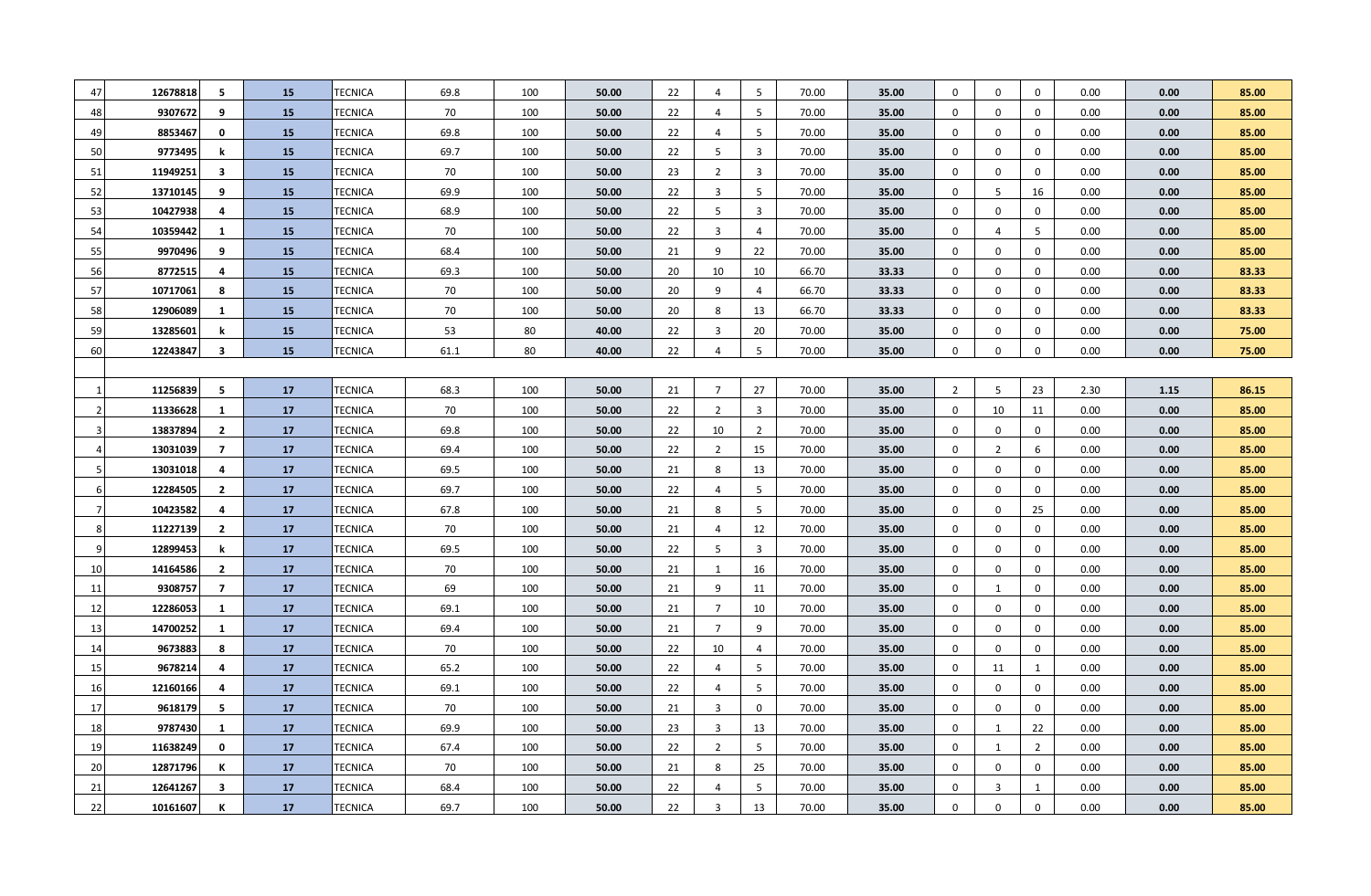| 47             | 12678818 | 5                       | 15        | TECNICA        | 69.8 | 100 | 50.00 | 22 | $\overline{4}$ | 5               | 70.00 | 35.00 | $\mathbf 0$    | $\mathbf 0$      | $\mathbf 0$    | 0.00 | 0.00 | 85.00 |
|----------------|----------|-------------------------|-----------|----------------|------|-----|-------|----|----------------|-----------------|-------|-------|----------------|------------------|----------------|------|------|-------|
| 48             | 9307672  | 9                       | 15        | TECNICA        | 70   | 100 | 50.00 | 22 | $\overline{4}$ | 5               | 70.00 | 35.00 | $\mathbf 0$    | $\mathbf 0$      | $\mathbf 0$    | 0.00 | 0.00 | 85.00 |
| 49             | 8853467  | 0                       | <b>15</b> | TECNICA        | 69.8 | 100 | 50.00 | 22 | 4              | 5               | 70.00 | 35.00 | $\mathbf 0$    | 0                | $\mathbf 0$    | 0.00 | 0.00 | 85.00 |
| 50             | 9773495  | k                       | <b>15</b> | TECNICA        | 69.7 | 100 | 50.00 | 22 | 5              | $\overline{3}$  | 70.00 | 35.00 | $\mathbf 0$    | $\mathbf 0$      | $\mathbf 0$    | 0.00 | 0.00 | 85.00 |
| 51             | 11949251 | $\overline{\mathbf{3}}$ | 15        | TECNICA        | 70   | 100 | 50.00 | 23 | $\overline{2}$ | $\overline{3}$  | 70.00 | 35.00 | $\mathbf 0$    | $\mathbf 0$      | $\mathbf 0$    | 0.00 | 0.00 | 85.00 |
| 52             | 13710145 | 9                       | 15        | TECNICA        | 69.9 | 100 | 50.00 | 22 | 3              | 5               | 70.00 | 35.00 | $\mathbf 0$    | 5                | 16             | 0.00 | 0.00 | 85.00 |
| 53             | 10427938 | 4                       | 15        | TECNICA        | 68.9 | 100 | 50.00 | 22 | 5              | $\overline{3}$  | 70.00 | 35.00 | $\mathbf 0$    | $\mathbf 0$      | $\mathbf 0$    | 0.00 | 0.00 | 85.00 |
| 54             | 10359442 | $\mathbf{1}$            | <b>15</b> | TECNICA        | 70   | 100 | 50.00 | 22 | 3              | $\overline{4}$  | 70.00 | 35.00 | $\mathbf 0$    | $\overline{4}$   | 5              | 0.00 | 0.00 | 85.00 |
| 55             | 9970496  | 9                       | 15        | TECNICA        | 68.4 | 100 | 50.00 | 21 | 9              | 22              | 70.00 | 35.00 | $\mathbf 0$    | $\mathbf 0$      | $\mathbf 0$    | 0.00 | 0.00 | 85.00 |
| 56             | 8772515  | 4                       | 15        | TECNICA        | 69.3 | 100 | 50.00 | 20 | 10             | 10              | 66.70 | 33.33 | $\mathbf 0$    | $\mathbf 0$      | $\mathbf 0$    | 0.00 | 0.00 | 83.33 |
| 57             | 10717061 | 8                       | 15        | TECNICA        | 70   | 100 | 50.00 | 20 | 9              | $\overline{4}$  | 66.70 | 33.33 | $\mathbf 0$    | $\mathbf 0$      | $\mathbf 0$    | 0.00 | 0.00 | 83.33 |
| 58             | 12906089 | 1                       | 15        | TECNICA        | 70   | 100 | 50.00 | 20 | 8              | 13              | 66.70 | 33.33 | $\mathbf 0$    | $\mathbf 0$      | $\mathbf 0$    | 0.00 | 0.00 | 83.33 |
| 59             | 13285601 | k                       | <b>15</b> | TECNICA        | 53   | 80  | 40.00 | 22 | 3              | 20              | 70.00 | 35.00 | $\mathbf 0$    | $\mathbf 0$      | $\mathbf 0$    | 0.00 | 0.00 | 75.00 |
| 60             | 12243847 | $\overline{\mathbf{3}}$ | 15        | <b>TECNICA</b> | 61.1 | 80  | 40.00 | 22 | $\overline{4}$ | $5\phantom{.0}$ | 70.00 | 35.00 | $\mathbf 0$    | $\mathbf 0$      | $\mathbf 0$    | 0.00 | 0.00 | 75.00 |
|                |          |                         |           |                |      |     |       |    |                |                 |       |       |                |                  |                |      |      |       |
|                | 11256839 | 5                       | 17        | <b>TECNICA</b> | 68.3 | 100 | 50.00 | 21 | $\overline{7}$ | 27              | 70.00 | 35.00 | $\overline{2}$ | 5                | 23             | 2.30 | 1.15 | 86.15 |
|                | 11336628 | 1                       | 17        | <b>TECNICA</b> | 70   | 100 | 50.00 | 22 | $\overline{2}$ | $\overline{3}$  | 70.00 | 35.00 | $\mathbf 0$    | 10               | 11             | 0.00 | 0.00 | 85.00 |
|                | 13837894 | $\overline{2}$          | 17        | TECNICA        | 69.8 | 100 | 50.00 | 22 | 10             | $\overline{2}$  | 70.00 | 35.00 | $\mathbf 0$    | 0                | 0              | 0.00 | 0.00 | 85.00 |
|                | 13031039 | $\overline{7}$          | 17        | TECNICA        | 69.4 | 100 | 50.00 | 22 | 2              | 15              | 70.00 | 35.00 | $\mathbf 0$    | $\overline{2}$   | 6              | 0.00 | 0.00 | 85.00 |
|                | 13031018 | 4                       | 17        | TECNICA        | 69.5 | 100 | 50.00 | 21 | 8              | 13              | 70.00 | 35.00 | $\mathbf 0$    | $\mathbf 0$      | 0              | 0.00 | 0.00 | 85.00 |
| 6              | 12284505 | $\overline{2}$          | 17        | TECNICA        | 69.7 | 100 | 50.00 | 22 | 4              | 5               | 70.00 | 35.00 | $\mathbf 0$    | $\mathbf 0$      | 0              | 0.00 | 0.00 | 85.00 |
| $\overline{7}$ | 10423582 | 4                       | 17        | TECNICA        | 67.8 | 100 | 50.00 | 21 | 8              | 5               | 70.00 | 35.00 | $\mathbf 0$    | $\mathbf 0$      | 25             | 0.00 | 0.00 | 85.00 |
| 8              | 11227139 | $\overline{2}$          | 17        | TECNICA        | 70   | 100 | 50.00 | 21 | $\overline{4}$ | 12              | 70.00 | 35.00 | $\mathbf 0$    | $\mathbf 0$      | $\mathbf 0$    | 0.00 | 0.00 | 85.00 |
| q              | 12899453 | k                       | 17        | TECNICA        | 69.5 | 100 | 50.00 | 22 | 5              | $\overline{3}$  | 70.00 | 35.00 | $\mathbf 0$    | 0                | 0              | 0.00 | 0.00 | 85.00 |
| 10             | 14164586 | $\overline{2}$          | 17        | TECNICA        | 70   | 100 | 50.00 | 21 | $\mathbf{1}$   | 16              | 70.00 | 35.00 | $\mathbf 0$    | 0                | $\mathbf 0$    | 0.00 | 0.00 | 85.00 |
| 11             | 9308757  | $\overline{7}$          | 17        | TECNICA        | 69   | 100 | 50.00 | 21 | 9              | 11              | 70.00 | 35.00 | $\mathbf 0$    | $\mathbf{1}$     | $\mathbf 0$    | 0.00 | 0.00 | 85.00 |
| 12             | 12286053 | 1                       | 17        | TECNICA        | 69.1 | 100 | 50.00 | 21 | $\overline{7}$ | 10              | 70.00 | 35.00 | $\mathbf 0$    | 0                | $\mathbf 0$    | 0.00 | 0.00 | 85.00 |
| 13             | 14700252 | $\mathbf{1}$            | 17        | TECNICA        | 69.4 | 100 | 50.00 | 21 | $\overline{7}$ | 9               | 70.00 | 35.00 | $\mathbf 0$    | $\boldsymbol{0}$ | $\mathbf 0$    | 0.00 | 0.00 | 85.00 |
| 14             | 9673883  | 8                       | 17        | TECNICA        | 70   | 100 | 50.00 | 22 | 10             | $\overline{4}$  | 70.00 | 35.00 | $\mathbf 0$    | $\boldsymbol{0}$ | $\mathbf 0$    | 0.00 | 0.00 | 85.00 |
| 15             | 9678214  | 4                       | 17        | TECNICA        | 65.2 | 100 | 50.00 | 22 | 4              | 5               | 70.00 | 35.00 | 0              | 11               | 1              | 0.00 | 0.00 | 85.00 |
| 16             | 12160166 | 4                       | 17        | TECNICA        | 69.1 | 100 | 50.00 | 22 | 4              | 5               | 70.00 | 35.00 | 0              | $\mathbf 0$      | $\mathbf 0$    | 0.00 | 0.00 | 85.00 |
| 17             | 9618179  | 5                       | 17        | TECNICA        | 70   | 100 | 50.00 | 21 | 3              | $\mathbf 0$     | 70.00 | 35.00 | $\mathbf 0$    | 0                | $\mathbf 0$    | 0.00 | 0.00 | 85.00 |
| 18             | 9787430  | $\mathbf{1}$            | 17        | TECNICA        | 69.9 | 100 | 50.00 | 23 | 3              | 13              | 70.00 | 35.00 | $\mathbf 0$    | 1                | 22             | 0.00 | 0.00 | 85.00 |
| 19             | 11638249 | $\mathbf 0$             | 17        | TECNICA        | 67.4 | 100 | 50.00 | 22 | $\overline{2}$ | 5               | 70.00 | 35.00 | 0              | 1                | $\overline{2}$ | 0.00 | 0.00 | 85.00 |
| 20             | 12871796 | К                       | 17        | TECNICA        | 70   | 100 | 50.00 | 21 | 8              | 25              | 70.00 | 35.00 | $\mathbf 0$    | 0                | $\mathbf 0$    | 0.00 | 0.00 | 85.00 |
| 21             | 12641267 | 3                       | 17        | TECNICA        | 68.4 | 100 | 50.00 | 22 | $\overline{4}$ | 5               | 70.00 | 35.00 | $\mathbf 0$    | $\overline{3}$   | 1              | 0.00 | 0.00 | 85.00 |
| 22             | 10161607 | К                       | 17        | <b>TECNICA</b> | 69.7 | 100 | 50.00 | 22 | 3              | 13              | 70.00 | 35.00 | $\mathbf 0$    | $\mathbf 0$      | $\mathbf 0$    | 0.00 | 0.00 | 85.00 |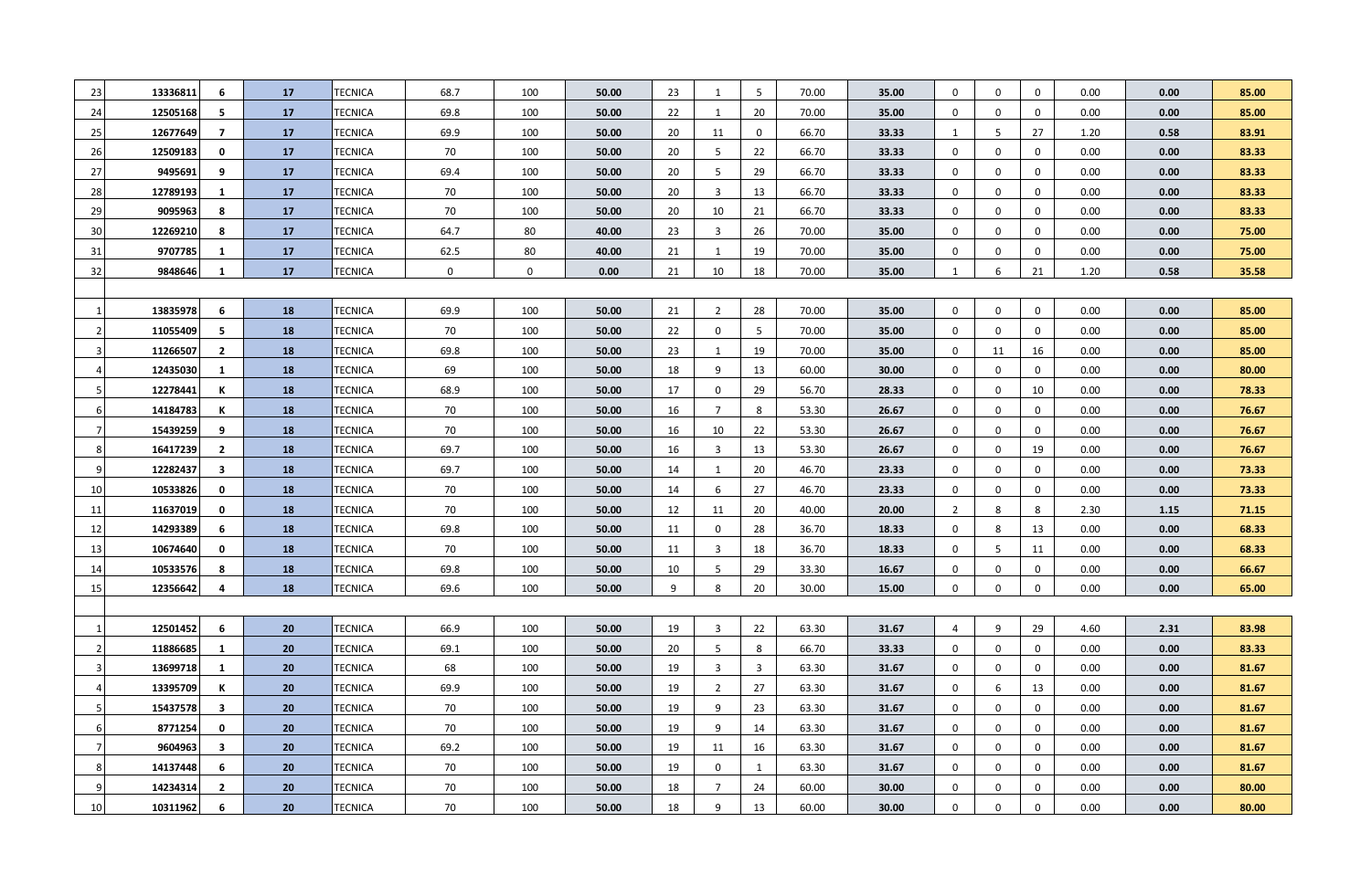| 23 | 13336811 | 6                       | 17 | TECNICA        | 68.7        | 100         | 50.00 | 23 | 1              | 5           | 70.00 | 35.00 | $\mathbf 0$    | $\mathbf 0$      | $\mathbf 0$      | 0.00 | 0.00 | 85.00 |
|----|----------|-------------------------|----|----------------|-------------|-------------|-------|----|----------------|-------------|-------|-------|----------------|------------------|------------------|------|------|-------|
| 24 | 12505168 | 5                       | 17 | TECNICA        | 69.8        | 100         | 50.00 | 22 | 1              | 20          | 70.00 | 35.00 | $\mathbf 0$    | $\mathbf 0$      | $\mathbf 0$      | 0.00 | 0.00 | 85.00 |
| 25 | 12677649 | $\overline{7}$          | 17 | TECNICA        | 69.9        | 100         | 50.00 | 20 | 11             | $\mathbf 0$ | 66.70 | 33.33 | 1              | 5                | 27               | 1.20 | 0.58 | 83.91 |
| 26 | 12509183 | 0                       | 17 | TECNICA        | 70          | 100         | 50.00 | 20 | 5              | 22          | 66.70 | 33.33 | $\mathbf 0$    | $\mathbf 0$      | $\mathbf 0$      | 0.00 | 0.00 | 83.33 |
| 27 | 9495691  | 9                       | 17 | TECNICA        | 69.4        | 100         | 50.00 | 20 | 5              | 29          | 66.70 | 33.33 | $\mathbf 0$    | $\mathbf 0$      | $\mathbf 0$      | 0.00 | 0.00 | 83.33 |
| 28 | 12789193 | 1                       | 17 | TECNICA        | 70          | 100         | 50.00 | 20 | 3              | 13          | 66.70 | 33.33 | $\mathbf 0$    | $\mathbf 0$      | $\mathbf 0$      | 0.00 | 0.00 | 83.33 |
| 29 | 9095963  | 8                       | 17 | TECNICA        | 70          | 100         | 50.00 | 20 | 10             | 21          | 66.70 | 33.33 | $\mathbf 0$    | $\mathbf 0$      | $\mathbf 0$      | 0.00 | 0.00 | 83.33 |
| 30 | 12269210 | 8                       | 17 | TECNICA        | 64.7        | 80          | 40.00 | 23 | $\overline{3}$ | 26          | 70.00 | 35.00 | $\mathbf 0$    | $\mathbf 0$      | $\mathbf 0$      | 0.00 | 0.00 | 75.00 |
| 31 | 9707785  | 1                       | 17 | TECNICA        | 62.5        | 80          | 40.00 | 21 | 1              | 19          | 70.00 | 35.00 | $\mathbf 0$    | $\mathbf 0$      | $\mathbf 0$      | 0.00 | 0.00 | 75.00 |
| 32 | 9848646  | $\mathbf{1}$            | 17 | TECNICA        | $\mathbf 0$ | $\mathbf 0$ | 0.00  | 21 | 10             | 18          | 70.00 | 35.00 | $\mathbf{1}$   | 6                | 21               | 1.20 | 0.58 | 35.58 |
|    |          |                         |    |                |             |             |       |    |                |             |       |       |                |                  |                  |      |      |       |
|    | 13835978 | 6                       | 18 | TECNICA        | 69.9        | 100         | 50.00 | 21 | $\overline{2}$ | 28          | 70.00 | 35.00 | $\mathbf 0$    | $\mathbf 0$      | $\mathbf 0$      | 0.00 | 0.00 | 85.00 |
|    | 11055409 | 5                       | 18 | TECNICA        | 70          | 100         | 50.00 | 22 | $\mathbf 0$    | 5           | 70.00 | 35.00 | $\mathbf 0$    | $\mathbf 0$      | $\mathbf 0$      | 0.00 | 0.00 | 85.00 |
|    | 11266507 | $\overline{2}$          | 18 | <b>TECNICA</b> | 69.8        | 100         | 50.00 | 23 | 1              | 19          | 70.00 | 35.00 | $\mathbf 0$    | 11               | 16               | 0.00 | 0.00 | 85.00 |
|    | 12435030 | 1                       | 18 | TECNICA        | 69          | 100         | 50.00 | 18 | 9              | 13          | 60.00 | 30.00 | $\mathbf 0$    | $\mathbf 0$      | $\mathbf 0$      | 0.00 | 0.00 | 80.00 |
|    | 12278441 | к                       | 18 | TECNICA        | 68.9        | 100         | 50.00 | 17 | 0              | 29          | 56.70 | 28.33 | $\mathbf 0$    | $\mathbf 0$      | 10               | 0.00 | 0.00 | 78.33 |
|    | 14184783 | к                       | 18 | TECNICA        | 70          | 100         | 50.00 | 16 | 7              | 8           | 53.30 | 26.67 | $\mathbf 0$    | $\mathbf 0$      | $\mathbf 0$      | 0.00 | 0.00 | 76.67 |
|    | 15439259 | 9                       | 18 | TECNICA        | 70          | 100         | 50.00 | 16 | 10             | 22          | 53.30 | 26.67 | 0              | $\mathbf 0$      | $\mathbf 0$      | 0.00 | 0.00 | 76.67 |
|    | 16417239 | $\overline{2}$          | 18 | TECNICA        | 69.7        | 100         | 50.00 | 16 | 3              | 13          | 53.30 | 26.67 | $\mathbf 0$    | $\mathbf 0$      | 19               | 0.00 | 0.00 | 76.67 |
|    | 12282437 | $\overline{\mathbf{3}}$ | 18 | TECNICA        | 69.7        | 100         | 50.00 | 14 | 1              | 20          | 46.70 | 23.33 | $\mathbf 0$    | $\mathbf 0$      | $\mathbf 0$      | 0.00 | 0.00 | 73.33 |
| 10 | 10533826 | $\mathbf 0$             | 18 | TECNICA        | 70          | 100         | 50.00 | 14 | 6              | 27          | 46.70 | 23.33 | $\mathbf 0$    | $\mathbf 0$      | $\mathbf 0$      | 0.00 | 0.00 | 73.33 |
| 11 | 11637019 | $\mathbf 0$             | 18 | TECNICA        | 70          | 100         | 50.00 | 12 | 11             | 20          | 40.00 | 20.00 | $\overline{2}$ | 8                | 8                | 2.30 | 1.15 | 71.15 |
| 12 | 14293389 | 6                       | 18 | TECNICA        | 69.8        | 100         | 50.00 | 11 | $\Omega$       | 28          | 36.70 | 18.33 | $\mathbf 0$    | 8                | 13               | 0.00 | 0.00 | 68.33 |
| 13 | 10674640 | $\mathbf 0$             | 18 | TECNICA        | 70          | 100         | 50.00 | 11 | 3              | 18          | 36.70 | 18.33 | $\mathbf 0$    | 5                | 11               | 0.00 | 0.00 | 68.33 |
| 14 | 10533576 | 8                       | 18 | TECNICA        | 69.8        | 100         | 50.00 | 10 | -5             | 29          | 33.30 | 16.67 | 0              | 0                | $\mathbf 0$      | 0.00 | 0.00 | 66.67 |
| 15 | 12356642 | 4                       | 18 | TECNICA        | 69.6        | 100         | 50.00 | 9  | 8              | 20          | 30.00 | 15.00 | $\mathbf 0$    | $\boldsymbol{0}$ | $\boldsymbol{0}$ | 0.00 | 0.00 | 65.00 |
|    |          |                         |    |                |             |             |       |    |                |             |       |       |                |                  |                  |      |      |       |
|    | 12501452 | 6                       | 20 | TECNICA        | 66.9        | 100         | 50.00 | 19 | २              | 22          | 63.30 | 31.67 | $\overline{4}$ | 9                | 29               | 4.60 | 2.31 | 83.98 |
|    | 11886685 | 1                       | 20 | TECNICA        | 69.1        | 100         | 50.00 | 20 | 5              | 8           | 66.70 | 33.33 | $\mathbf 0$    | $\mathbf 0$      | $\mathbf 0$      | 0.00 | 0.00 | 83.33 |
|    | 13699718 | 1                       | 20 | TECNICA        | 68          | 100         | 50.00 | 19 | 3              | 3           | 63.30 | 31.67 | $\mathbf 0$    | $\mathbf 0$      | $\mathbf 0$      | 0.00 | 0.00 | 81.67 |
|    | 13395709 | К                       | 20 | TECNICA        | 69.9        | 100         | 50.00 | 19 | $\overline{2}$ | 27          | 63.30 | 31.67 | $\mathbf 0$    | 6                | 13               | 0.00 | 0.00 | 81.67 |
|    | 15437578 | 3                       | 20 | TECNICA        | 70          | 100         | 50.00 | 19 | 9              | 23          | 63.30 | 31.67 | $\mathbf 0$    | $\mathbf 0$      | $\mathbf 0$      | 0.00 | 0.00 | 81.67 |
|    | 8771254  | 0                       | 20 | TECNICA        | 70          | 100         | 50.00 | 19 | 9              | 14          | 63.30 | 31.67 | $\mathbf 0$    | $\mathbf 0$      | $\mathbf 0$      | 0.00 | 0.00 | 81.67 |
|    | 9604963  | $\overline{\mathbf{3}}$ | 20 | TECNICA        | 69.2        | 100         | 50.00 | 19 | 11             | 16          | 63.30 | 31.67 | $\mathbf 0$    | $\mathbf 0$      | $\mathbf 0$      | 0.00 | 0.00 | 81.67 |
|    | 14137448 | 6                       | 20 | TECNICA        | 70          | 100         | 50.00 | 19 | 0              | 1           | 63.30 | 31.67 | $\mathbf 0$    | $\mathbf 0$      | 0                | 0.00 | 0.00 | 81.67 |
|    | 14234314 | 2                       | 20 | TECNICA        | 70          | 100         | 50.00 | 18 | 7              | 24          | 60.00 | 30.00 | $\mathbf 0$    | 0                | $\mathbf 0$      | 0.00 | 0.00 | 80.00 |
| 10 | 10311962 | 6                       | 20 | <b>TECNICA</b> | 70          | 100         | 50.00 | 18 | 9              | 13          | 60.00 | 30.00 | $\mathbf 0$    | $\mathbf 0$      | $\mathbf 0$      | 0.00 | 0.00 | 80.00 |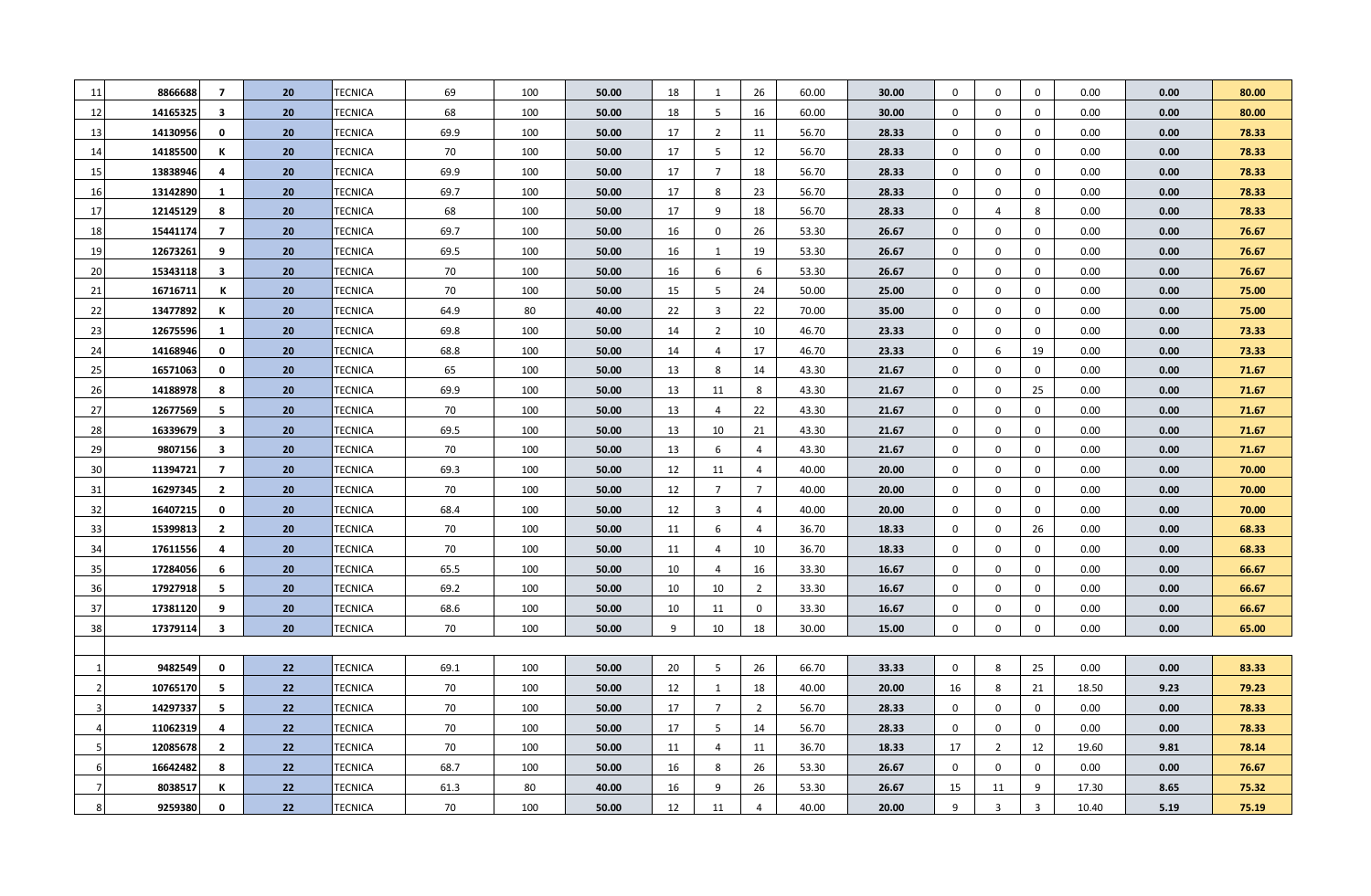| -11 | 8866688  | $\overline{7}$          | 20 | <b>TECNICA</b> | 69   | 100 | 50.00 | 18 | 1              | 26             | 60.00 | 30.00 | $\mathbf 0$  | 0              | $\mathbf 0$    | 0.00  | 0.00 | 80.00 |
|-----|----------|-------------------------|----|----------------|------|-----|-------|----|----------------|----------------|-------|-------|--------------|----------------|----------------|-------|------|-------|
| 12  | 14165325 | $\overline{\mathbf{3}}$ | 20 | TECNICA        | 68   | 100 | 50.00 | 18 | 5              | 16             | 60.00 | 30.00 | $\mathbf 0$  | $\mathbf 0$    | $\mathbf 0$    | 0.00  | 0.00 | 80.00 |
| 13  | 14130956 | 0                       | 20 | TECNICA        | 69.9 | 100 | 50.00 | 17 | $\overline{2}$ | 11             | 56.70 | 28.33 | $\mathbf 0$  | $\mathbf{0}$   | $\mathbf{0}$   | 0.00  | 0.00 | 78.33 |
| -14 | 14185500 | к                       | 20 | TECNICA        | 70   | 100 | 50.00 | 17 | -5             | 12             | 56.70 | 28.33 | $\mathbf{0}$ | $\mathbf 0$    | $\mathbf{0}$   | 0.00  | 0.00 | 78.33 |
| 15  | 13838946 | 4                       | 20 | <b>TECNICA</b> | 69.9 | 100 | 50.00 | 17 | $\overline{7}$ | 18             | 56.70 | 28.33 | 0            | 0              | $\mathbf 0$    | 0.00  | 0.00 | 78.33 |
| 16  | 13142890 | 1                       | 20 | TECNICA        | 69.7 | 100 | 50.00 | 17 | 8              | 23             | 56.70 | 28.33 | $\mathbf 0$  | 0              | $\mathbf 0$    | 0.00  | 0.00 | 78.33 |
| 17  | 12145129 | 8                       | 20 | TECNICA        | 68   | 100 | 50.00 | 17 | 9              | 18             | 56.70 | 28.33 | 0            | $\overline{4}$ | 8              | 0.00  | 0.00 | 78.33 |
| 18  | 15441174 | $\overline{7}$          | 20 | TECNICA        | 69.7 | 100 | 50.00 | 16 | $\mathbf 0$    | 26             | 53.30 | 26.67 | $\mathbf 0$  | $\mathbf 0$    | $\mathbf 0$    | 0.00  | 0.00 | 76.67 |
| 19  | 12673261 | 9                       | 20 | <b>TECNICA</b> | 69.5 | 100 | 50.00 | 16 | $\mathbf{1}$   | 19             | 53.30 | 26.67 | $\mathbf 0$  | $\mathbf 0$    | $\mathbf 0$    | 0.00  | 0.00 | 76.67 |
| 20  | 15343118 | $\overline{\mathbf{3}}$ | 20 | TECNICA        | 70   | 100 | 50.00 | 16 | 6              | 6              | 53.30 | 26.67 | $\mathbf 0$  | $\mathbf 0$    | $\mathbf 0$    | 0.00  | 0.00 | 76.67 |
| 21  | 16716711 | К                       | 20 | TECNICA        | 70   | 100 | 50.00 | 15 | 5              | 24             | 50.00 | 25.00 | $\mathbf 0$  | $\mathbf 0$    | $\mathbf 0$    | 0.00  | 0.00 | 75.00 |
| 22  | 13477892 | к                       | 20 | <b>TECNICA</b> | 64.9 | 80  | 40.00 | 22 | $\overline{3}$ | 22             | 70.00 | 35.00 | $\mathbf 0$  | $\mathbf 0$    | $\mathbf 0$    | 0.00  | 0.00 | 75.00 |
| 23  | 12675596 | 1                       | 20 | TECNICA        | 69.8 | 100 | 50.00 | 14 | $\overline{2}$ | 10             | 46.70 | 23.33 | $\mathbf 0$  | $\mathbf 0$    | $\mathbf 0$    | 0.00  | 0.00 | 73.33 |
| 24  | 14168946 | 0                       | 20 | <b>TECNICA</b> | 68.8 | 100 | 50.00 | 14 | 4              | 17             | 46.70 | 23.33 | $\mathbf 0$  | 6              | 19             | 0.00  | 0.00 | 73.33 |
| 25  | 16571063 | 0                       | 20 | <b>TECNICA</b> | 65   | 100 | 50.00 | 13 | 8              | 14             | 43.30 | 21.67 | $\mathbf 0$  | $\mathbf 0$    | $\mathbf 0$    | 0.00  | 0.00 | 71.67 |
| 26  | 14188978 | 8                       | 20 | <b>TECNICA</b> | 69.9 | 100 | 50.00 | 13 | 11             | 8              | 43.30 | 21.67 | $\mathbf 0$  | $\mathbf 0$    | 25             | 0.00  | 0.00 | 71.67 |
| 27  | 12677569 | 5                       | 20 | <b>TECNICA</b> | 70   | 100 | 50.00 | 13 | 4              | 22             | 43.30 | 21.67 | $\mathbf 0$  | $\mathbf 0$    | $\mathbf 0$    | 0.00  | 0.00 | 71.67 |
| 28  | 16339679 | $\overline{\mathbf{3}}$ | 20 | <b>TECNICA</b> | 69.5 | 100 | 50.00 | 13 | 10             | 21             | 43.30 | 21.67 | $\mathbf 0$  | $\mathbf 0$    | $\mathbf 0$    | 0.00  | 0.00 | 71.67 |
| 29  | 9807156  | $\overline{\mathbf{3}}$ | 20 | <b>TECNICA</b> | 70   | 100 | 50.00 | 13 | 6              | $\overline{4}$ | 43.30 | 21.67 | $\mathbf 0$  | $\mathbf 0$    | $\mathbf 0$    | 0.00  | 0.00 | 71.67 |
| 30  | 11394721 | $\overline{7}$          | 20 | <b>TECNICA</b> | 69.3 | 100 | 50.00 | 12 | 11             | $\overline{4}$ | 40.00 | 20.00 | $\mathbf 0$  | $\mathbf 0$    | $\mathbf 0$    | 0.00  | 0.00 | 70.00 |
| 31  | 16297345 | $\overline{2}$          | 20 | <b>TECNICA</b> | 70   | 100 | 50.00 | 12 | $\overline{7}$ | $\overline{7}$ | 40.00 | 20.00 | $\mathbf 0$  | $\mathbf 0$    | $\mathbf 0$    | 0.00  | 0.00 | 70.00 |
| 32  | 16407215 | $\mathbf 0$             | 20 | <b>TECNICA</b> | 68.4 | 100 | 50.00 | 12 | $\overline{3}$ | $\overline{4}$ | 40.00 | 20.00 | $\mathbf 0$  | $\mathbf 0$    | $\mathbf 0$    | 0.00  | 0.00 | 70.00 |
| 33  | 15399813 | $\overline{2}$          | 20 | <b>TECNICA</b> | 70   | 100 | 50.00 | 11 | 6              | $\overline{4}$ | 36.70 | 18.33 | $\mathbf 0$  | $\mathbf 0$    | 26             | 0.00  | 0.00 | 68.33 |
| 34  | 17611556 | 4                       | 20 | <b>TECNICA</b> | 70   | 100 | 50.00 | 11 | $\overline{4}$ | 10             | 36.70 | 18.33 | $\mathbf 0$  | $\mathbf 0$    | $\mathbf 0$    | 0.00  | 0.00 | 68.33 |
| 35  | 17284056 | 6                       | 20 | TECNICA        | 65.5 | 100 | 50.00 | 10 | $\overline{4}$ | 16             | 33.30 | 16.67 | $\mathbf 0$  | $\mathbf 0$    | $\mathbf 0$    | 0.00  | 0.00 | 66.67 |
| 36  | 17927918 | 5                       | 20 | <b>TECNICA</b> | 69.2 | 100 | 50.00 | 10 | 10             | $\overline{2}$ | 33.30 | 16.67 | $\mathbf 0$  | 0              | $\mathbf 0$    | 0.00  | 0.00 | 66.67 |
| 37  | 17381120 | 9                       | 20 | TECNICA        | 68.6 | 100 | 50.00 | 10 | 11             | $\mathbf 0$    | 33.30 | 16.67 | $\mathbf 0$  | 0              | $\mathbf 0$    | 0.00  | 0.00 | 66.67 |
| 38  | 17379114 | 3                       | 20 | <b>TECNICA</b> | 70   | 100 | 50.00 | 9  | 10             | 18             | 30.00 | 15.00 | $\mathbf 0$  | $\Omega$       | $\mathbf 0$    | 0.00  | 0.00 | 65.00 |
|     |          |                         |    |                |      |     |       |    |                |                |       |       |              |                |                |       |      |       |
|     | 9482549  | 0                       | 22 | TECNICA        | 69.1 | 100 | 50.00 | 20 | -5             | 26             | 66.70 | 33.33 | $\mathbf 0$  | 8              | 25             | 0.00  | 0.00 | 83.33 |
|     | 10765170 | 5                       | 22 | TECNICA        | 70   | 100 | 50.00 | 12 | 1              | 18             | 40.00 | 20.00 | 16           | 8              | 21             | 18.50 | 9.23 | 79.23 |
|     | 14297337 | 5                       | 22 | TECNICA        | 70   | 100 | 50.00 | 17 | $\overline{7}$ | $\overline{2}$ | 56.70 | 28.33 | $\mathbf 0$  | $\mathbf 0$    | $\mathbf 0$    | 0.00  | 0.00 | 78.33 |
|     | 11062319 | 4                       | 22 | TECNICA        | 70   | 100 | 50.00 | 17 | 5              | 14             | 56.70 | 28.33 | $\mathbf 0$  | $\mathbf 0$    | $\mathbf 0$    | 0.00  | 0.00 | 78.33 |
|     | 12085678 | 2                       | 22 | TECNICA        | 70   | 100 | 50.00 | 11 | 4              | 11             | 36.70 | 18.33 | 17           | $\overline{2}$ | 12             | 19.60 | 9.81 | 78.14 |
|     | 16642482 | 8                       | 22 | TECNICA        | 68.7 | 100 | 50.00 | 16 | 8              | 26             | 53.30 | 26.67 | $\mathbf 0$  | $\mathbf 0$    | $\mathbf 0$    | 0.00  | 0.00 | 76.67 |
|     | 8038517  | к                       | 22 | TECNICA        | 61.3 | 80  | 40.00 | 16 | 9              | 26             | 53.30 | 26.67 | 15           | 11             | 9              | 17.30 | 8.65 | 75.32 |
| 8   | 9259380  | 0                       | 22 | TECNICA        | 70   | 100 | 50.00 | 12 | 11             | $\overline{4}$ | 40.00 | 20.00 | 9            | $\overline{3}$ | $\overline{3}$ | 10.40 | 5.19 | 75.19 |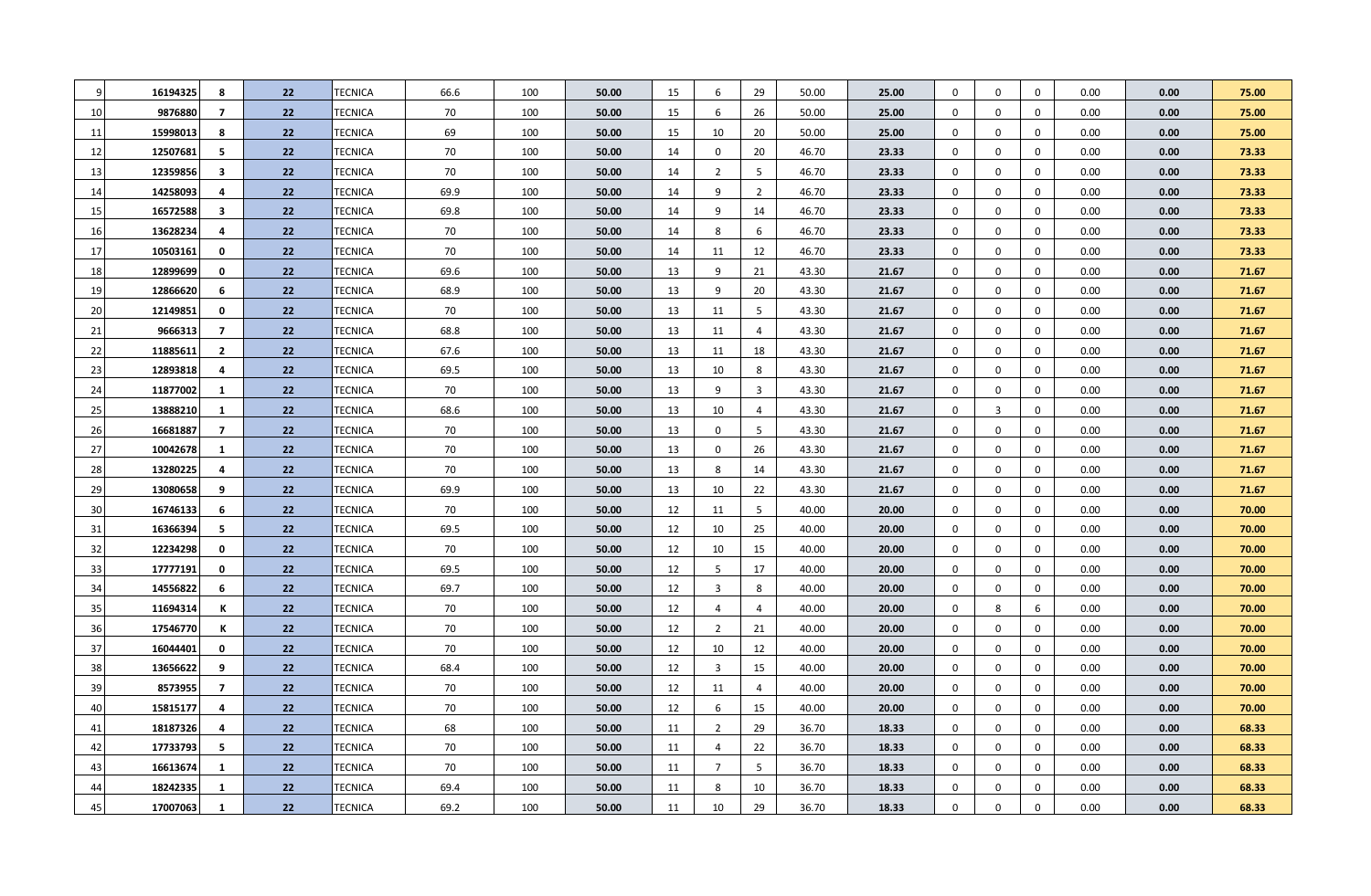| -9 | 16194325 | 8              | 22 | TECNICA               | 66.6 | 100 | 50.00 | 15 | 6              | 29             | 50.00 | 25.00 | $\mathbf 0$      | 0              | $\mathbf 0$ | 0.00 | 0.00 | 75.00 |
|----|----------|----------------|----|-----------------------|------|-----|-------|----|----------------|----------------|-------|-------|------------------|----------------|-------------|------|------|-------|
| 10 | 9876880  | $\overline{7}$ | 22 | TECNICA               | 70   | 100 | 50.00 | 15 | 6              | 26             | 50.00 | 25.00 | $\mathbf 0$      | 0              | $\mathbf 0$ | 0.00 | 0.00 | 75.00 |
| 11 | 15998013 | 8              | 22 | TECNICA               | 69   | 100 | 50.00 | 15 | 10             | 20             | 50.00 | 25.00 | $\mathbf 0$      | 0              | $\mathbf 0$ | 0.00 | 0.00 | 75.00 |
| 12 | 12507681 | 5              | 22 | <b>TECNICA</b>        | 70   | 100 | 50.00 | 14 | $\mathbf 0$    | 20             | 46.70 | 23.33 | $\mathbf 0$      | 0              | $\mathbf 0$ | 0.00 | 0.00 | 73.33 |
| 13 | 12359856 | -3             | 22 | <b>TECNICA</b>        | 70   | 100 | 50.00 | 14 | $\overline{2}$ | 5              | 46.70 | 23.33 | $\mathbf 0$      | $\mathbf 0$    | $\mathbf 0$ | 0.00 | 0.00 | 73.33 |
| 14 | 14258093 | 4              | 22 | TECNICA               | 69.9 | 100 | 50.00 | 14 | 9              | $\overline{2}$ | 46.70 | 23.33 | $\mathbf 0$      | 0              | $\mathbf 0$ | 0.00 | 0.00 | 73.33 |
| 15 | 16572588 | 3              | 22 | TECNICA               | 69.8 | 100 | 50.00 | 14 | 9              | 14             | 46.70 | 23.33 | $\mathbf 0$      | 0              | $\mathbf 0$ | 0.00 | 0.00 | 73.33 |
| 16 | 13628234 | 4              | 22 | <b>TECNICA</b>        | 70   | 100 | 50.00 | 14 | 8              | 6              | 46.70 | 23.33 | $\mathbf 0$      | 0              | $\mathbf 0$ | 0.00 | 0.00 | 73.33 |
| 17 | 10503161 | 0              | 22 | <b>TECNICA</b>        | 70   | 100 | 50.00 | 14 | 11             | 12             | 46.70 | 23.33 | $\mathbf 0$      | 0              | $\mathbf 0$ | 0.00 | 0.00 | 73.33 |
| 18 | 12899699 | 0              | 22 | <b>TECNICA</b>        | 69.6 | 100 | 50.00 | 13 | 9              | 21             | 43.30 | 21.67 | $\mathbf 0$      | $\mathbf{0}$   | $\mathbf 0$ | 0.00 | 0.00 | 71.67 |
| 19 | 12866620 | 6              | 22 | TECNICA               | 68.9 | 100 | 50.00 | 13 | 9              | 20             | 43.30 | 21.67 | $\mathbf 0$      | $\mathbf{0}$   | $\mathbf 0$ | 0.00 | 0.00 | 71.67 |
| 20 | 12149851 | 0              | 22 | <b>TECNICA</b>        | 70   | 100 | 50.00 | 13 | 11             | 5              | 43.30 | 21.67 | $\mathbf 0$      | 0              | $\mathbf 0$ | 0.00 | 0.00 | 71.67 |
| 21 | 9666313  | 7              | 22 | TECNICA               | 68.8 | 100 | 50.00 | 13 | 11             | $\overline{4}$ | 43.30 | 21.67 | $\mathbf 0$      | 0              | $\mathbf 0$ | 0.00 | 0.00 | 71.67 |
| 22 | 11885611 | $\overline{2}$ | 22 | TECNICA               | 67.6 | 100 | 50.00 | 13 | 11             | 18             | 43.30 | 21.67 | $\boldsymbol{0}$ | 0              | $\mathbf 0$ | 0.00 | 0.00 | 71.67 |
| 23 | 12893818 | 4              | 22 | <b>TECNICA</b>        | 69.5 | 100 | 50.00 | 13 | 10             | 8              | 43.30 | 21.67 | $\boldsymbol{0}$ | $\mathbf 0$    | $\mathbf 0$ | 0.00 | 0.00 | 71.67 |
| 24 | 11877002 | 1              | 22 | TECNICA               | 70   | 100 | 50.00 | 13 | 9              | $\overline{3}$ | 43.30 | 21.67 | $\boldsymbol{0}$ | 0              | $\mathbf 0$ | 0.00 | 0.00 | 71.67 |
| 25 | 13888210 | 1              | 22 | TECNICA               | 68.6 | 100 | 50.00 | 13 | 10             | $\overline{4}$ | 43.30 | 21.67 | $\boldsymbol{0}$ | $\overline{3}$ | $\mathbf 0$ | 0.00 | 0.00 | 71.67 |
| 26 | 16681887 | $\overline{7}$ | 22 | TECNICA               | 70   | 100 | 50.00 | 13 | $\mathbf 0$    | 5              | 43.30 | 21.67 | $\boldsymbol{0}$ | 0              | $\mathbf 0$ | 0.00 | 0.00 | 71.67 |
| 27 | 10042678 | $\mathbf{1}$   | 22 | TECNICA               | 70   | 100 | 50.00 | 13 | 0              | 26             | 43.30 | 21.67 | $\boldsymbol{0}$ | 0              | $\mathbf 0$ | 0.00 | 0.00 | 71.67 |
| 28 | 13280225 | 4              | 22 | TECNICA               | 70   | 100 | 50.00 | 13 | 8              | 14             | 43.30 | 21.67 | $\boldsymbol{0}$ | 0              | $\mathbf 0$ | 0.00 | 0.00 | 71.67 |
| 29 | 13080658 | 9              | 22 | TECNICA               | 69.9 | 100 | 50.00 | 13 | 10             | 22             | 43.30 | 21.67 | $\boldsymbol{0}$ | $\mathbf{0}$   | $\mathbf 0$ | 0.00 | 0.00 | 71.67 |
| 30 | 16746133 | 6              | 22 | TECNICA               | 70   | 100 | 50.00 | 12 | 11             | 5              | 40.00 | 20.00 | $\boldsymbol{0}$ | $\mathbf 0$    | $\mathbf 0$ | 0.00 | 0.00 | 70.00 |
| 31 | 16366394 | 5              | 22 | TECNICA               | 69.5 | 100 | 50.00 | 12 | 10             | 25             | 40.00 | 20.00 | $\boldsymbol{0}$ | $\mathbf 0$    | $\mathbf 0$ | 0.00 | 0.00 | 70.00 |
| 32 | 12234298 | $\mathbf 0$    | 22 | TECNICA               | 70   | 100 | 50.00 | 12 | 10             | 15             | 40.00 | 20.00 | $\mathbf 0$      | $\mathbf 0$    | $\mathbf 0$ | 0.00 | 0.00 | 70.00 |
| 33 | 17777191 | 0              | 22 | <b>TECNICA</b>        | 69.5 | 100 | 50.00 | 12 | 5              | 17             | 40.00 | 20.00 | $\mathbf 0$      | $\mathbf 0$    | $\mathbf 0$ | 0.00 | 0.00 | 70.00 |
| 34 | 14556822 | 6              | 22 | TECNICA               | 69.7 | 100 | 50.00 | 12 | $\overline{3}$ | 8              | 40.00 | 20.00 | $\mathbf 0$      | $\mathbf 0$    | $\mathbf 0$ | 0.00 | 0.00 | 70.00 |
| 35 | 11694314 | К              | 22 | <b>TECNICA</b>        | 70   | 100 | 50.00 | 12 | $\overline{4}$ | $\overline{4}$ | 40.00 | 20.00 | $\mathbf 0$      | 8              | 6           | 0.00 | 0.00 | 70.00 |
| 36 | 17546770 | К              | 22 | <b>TECNICA</b>        | 70   | 100 | 50.00 | 12 | $\overline{2}$ | 21             | 40.00 | 20.00 | $\mathbf 0$      | $\mathbf 0$    | $\mathbf 0$ | 0.00 | 0.00 | 70.00 |
| 37 | 16044401 | 0              | 22 | TECNICA               | 70   | 100 | 50.00 | 12 | 10             | 12             | 40.00 | 20.00 | $\mathbf 0$      | $\mathbf 0$    | $\mathbf 0$ | 0.00 | 0.00 | 70.00 |
| 38 | 13656622 | 9              | 22 | <b>TECNICA</b>        | 68.4 | 100 | 50.00 | 12 | $\overline{3}$ | 15             | 40.00 | 20.00 | $\mathbf 0$      | $\mathbf 0$    | $\mathbf 0$ | 0.00 | 0.00 | 70.00 |
| 39 | 8573955  | $\overline{7}$ | 22 | TECNICA               | 70   | 100 | 50.00 | 12 | 11             | $\overline{4}$ | 40.00 | 20.00 | $\mathbf 0$      | $\mathbf 0$    | $\mathbf 0$ | 0.00 | 0.00 | 70.00 |
| 40 | 15815177 | 4              | 22 | <b>TECNICA</b>        | 70   | 100 | 50.00 | 12 | 6              | 15             | 40.00 | 20.00 | $\mathbf 0$      | $\mathbf 0$    | $\mathbf 0$ | 0.00 | 0.00 | 70.00 |
| 41 | 18187326 | 4              | 22 | TECNICA               | 68   | 100 | 50.00 | 11 | $\overline{2}$ | 29             | 36.70 | 18.33 | $\mathbf 0$      | $\mathbf 0$    | $\mathbf 0$ | 0.00 | 0.00 | 68.33 |
| 42 | 17733793 | -5             | 22 | <b>TECNICA</b>        | 70   | 100 | 50.00 | 11 | $\overline{4}$ | 22             | 36.70 | 18.33 | $\mathbf 0$      | $\mathbf 0$    | $\mathbf 0$ | 0.00 | 0.00 | 68.33 |
| 43 | 16613674 | 1              | 22 | TECNICA               | 70   | 100 | 50.00 | 11 | $\overline{7}$ | 5              | 36.70 | 18.33 | $\mathbf 0$      | $\mathbf 0$    | $\mathbf 0$ | 0.00 | 0.00 | 68.33 |
| 44 | 18242335 | $\mathbf{1}$   | 22 | <b><i>FECNICA</i></b> | 69.4 | 100 | 50.00 | 11 | 8              | 10             | 36.70 | 18.33 | $\mathbf 0$      | $\Omega$       | $\Omega$    | 0.00 | 0.00 | 68.33 |
| 45 | 17007063 | 1              | 22 | <b>TECNICA</b>        | 69.2 | 100 | 50.00 | 11 | 10             | 29             | 36.70 | 18.33 | $\mathbf{0}$     | $\mathbf 0$    | $\Omega$    | 0.00 | 0.00 | 68.33 |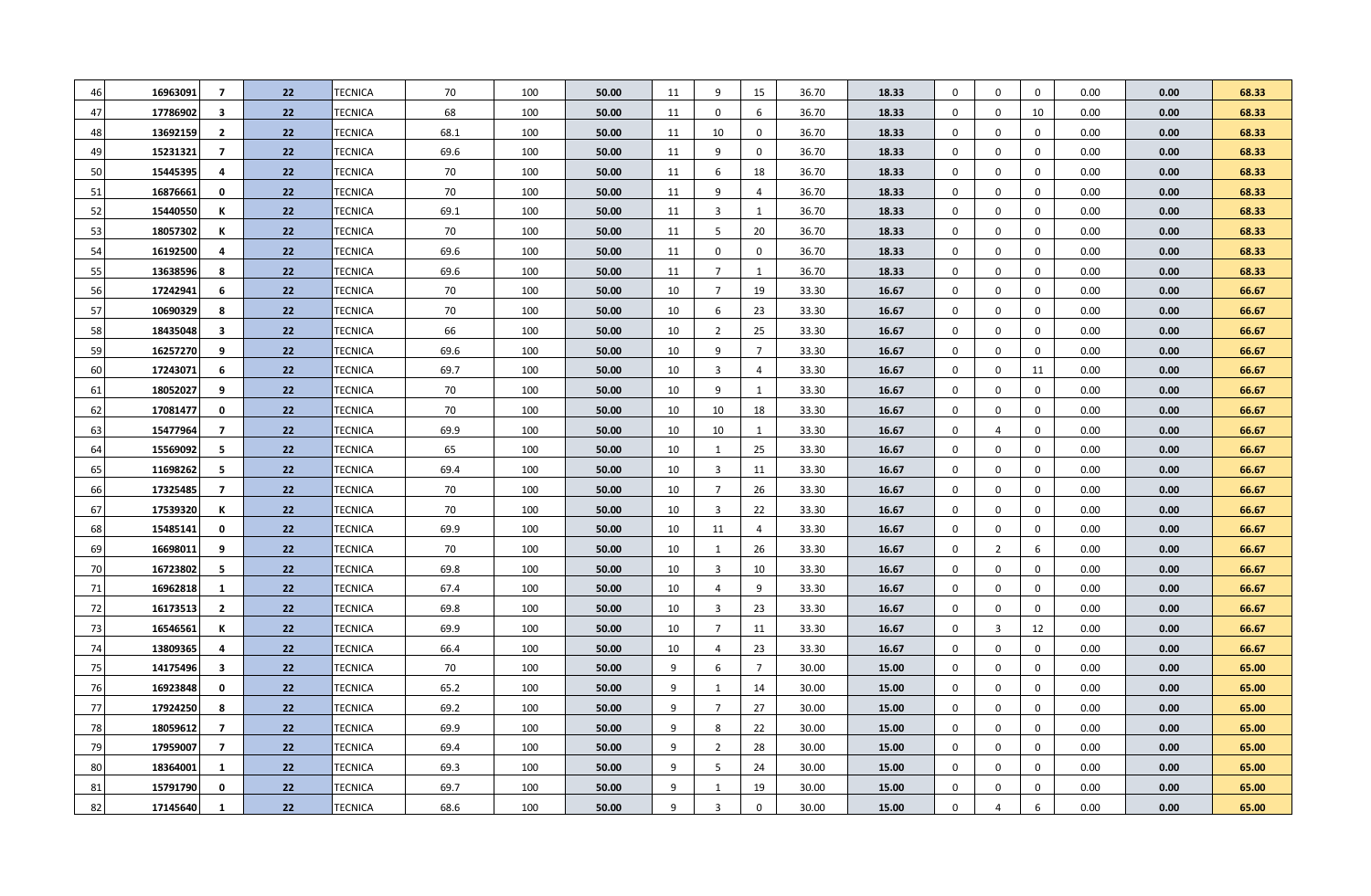| 46 | 16963091 | 7                       | 22 | TECNICA        | 70   | 100 | 50.00 | 11 | 9              | 15             | 36.70 | 18.33 | $\mathbf 0$ | 0              | $\mathbf 0$ | 0.00 | 0.00 | 68.33 |
|----|----------|-------------------------|----|----------------|------|-----|-------|----|----------------|----------------|-------|-------|-------------|----------------|-------------|------|------|-------|
| 47 | 17786902 | $\overline{\mathbf{3}}$ | 22 | TECNICA        | 68   | 100 | 50.00 | 11 | $\mathbf 0$    | 6              | 36.70 | 18.33 | $\mathbf 0$ | $\mathbf 0$    | 10          | 0.00 | 0.00 | 68.33 |
| 48 | 13692159 | $\mathbf{2}$            | 22 | TECNICA        | 68.1 | 100 | 50.00 | 11 | 10             | $\mathbf 0$    | 36.70 | 18.33 | $\mathbf 0$ | 0              | $\mathbf 0$ | 0.00 | 0.00 | 68.33 |
| 49 | 15231321 | 7                       | 22 | TECNICA        | 69.6 | 100 | 50.00 | 11 | 9              | $\mathbf 0$    | 36.70 | 18.33 | $\mathbf 0$ | 0              | $\mathbf 0$ | 0.00 | 0.00 | 68.33 |
| 50 | 15445395 | 4                       | 22 | TECNICA        | 70   | 100 | 50.00 | 11 | 6              | 18             | 36.70 | 18.33 | $\mathbf 0$ | 0              | $\mathbf 0$ | 0.00 | 0.00 | 68.33 |
| 51 | 16876661 | 0                       | 22 | TECNICA        | 70   | 100 | 50.00 | 11 | 9              | $\overline{4}$ | 36.70 | 18.33 | $\mathbf 0$ | 0              | $\mathbf 0$ | 0.00 | 0.00 | 68.33 |
| 52 | 15440550 | К                       | 22 | TECNICA        | 69.1 | 100 | 50.00 | 11 | $\overline{3}$ | $\mathbf{1}$   | 36.70 | 18.33 | $\mathbf 0$ | 0              | $\mathbf 0$ | 0.00 | 0.00 | 68.33 |
| 53 | 18057302 | К                       | 22 | TECNICA        | 70   | 100 | 50.00 | 11 | 5              | 20             | 36.70 | 18.33 | $\mathbf 0$ | $\mathbf 0$    | $\mathbf 0$ | 0.00 | 0.00 | 68.33 |
| 54 | 16192500 | 4                       | 22 | TECNICA        | 69.6 | 100 | 50.00 | 11 | $\mathbf 0$    | $\mathbf 0$    | 36.70 | 18.33 | $\mathbf 0$ | $\mathbf 0$    | $\mathbf 0$ | 0.00 | 0.00 | 68.33 |
| 55 | 13638596 | 8                       | 22 | TECNICA        | 69.6 | 100 | 50.00 | 11 | $\overline{7}$ | $\mathbf{1}$   | 36.70 | 18.33 | $\mathbf 0$ | 0              | $\mathbf 0$ | 0.00 | 0.00 | 68.33 |
| 56 | 17242941 | 6                       | 22 | TECNICA        | 70   | 100 | 50.00 | 10 | $\overline{7}$ | 19             | 33.30 | 16.67 | $\mathbf 0$ | 0              | $\mathbf 0$ | 0.00 | 0.00 | 66.67 |
| 57 | 10690329 | 8                       | 22 | TECNICA        | 70   | 100 | 50.00 | 10 | 6              | 23             | 33.30 | 16.67 | $\mathbf 0$ | $\mathbf 0$    | $\mathbf 0$ | 0.00 | 0.00 | 66.67 |
| 58 | 18435048 | $\overline{\mathbf{3}}$ | 22 | TECNICA        | 66   | 100 | 50.00 | 10 | $\overline{2}$ | 25             | 33.30 | 16.67 | $\mathbf 0$ | $\mathbf 0$    | $\mathbf 0$ | 0.00 | 0.00 | 66.67 |
| 59 | 16257270 | 9                       | 22 | TECNICA        | 69.6 | 100 | 50.00 | 10 | 9              | $\overline{7}$ | 33.30 | 16.67 | $\mathbf 0$ | $\mathbf 0$    | $\mathbf 0$ | 0.00 | 0.00 | 66.67 |
| 60 | 17243071 | 6                       | 22 | TECNICA        | 69.7 | 100 | 50.00 | 10 | 3              | $\overline{4}$ | 33.30 | 16.67 | $\mathbf 0$ | $\mathbf 0$    | 11          | 0.00 | 0.00 | 66.67 |
| 61 | 18052027 | 9                       | 22 | TECNICA        | 70   | 100 | 50.00 | 10 | 9              | $\mathbf{1}$   | 33.30 | 16.67 | $\mathbf 0$ | $\mathbf 0$    | $\mathbf 0$ | 0.00 | 0.00 | 66.67 |
| 62 | 17081477 | $\mathbf 0$             | 22 | TECNICA        | 70   | 100 | 50.00 | 10 | 10             | 18             | 33.30 | 16.67 | $\mathbf 0$ | $\mathbf 0$    | $\mathbf 0$ | 0.00 | 0.00 | 66.67 |
| 63 | 15477964 | $\overline{7}$          | 22 | TECNICA        | 69.9 | 100 | 50.00 | 10 | 10             | $\mathbf{1}$   | 33.30 | 16.67 | $\mathbf 0$ | $\overline{4}$ | $\mathbf 0$ | 0.00 | 0.00 | 66.67 |
| 64 | 15569092 | 5                       | 22 | TECNICA        | 65   | 100 | 50.00 | 10 | 1              | 25             | 33.30 | 16.67 | $\mathbf 0$ | $\mathbf 0$    | $\mathbf 0$ | 0.00 | 0.00 | 66.67 |
| 65 | 11698262 | 5                       | 22 | TECNICA        | 69.4 | 100 | 50.00 | 10 | 3              | 11             | 33.30 | 16.67 | $\mathbf 0$ | $\mathbf 0$    | $\mathbf 0$ | 0.00 | 0.00 | 66.67 |
| 66 | 17325485 | $\overline{7}$          | 22 | <b>TECNICA</b> | 70   | 100 | 50.00 | 10 | $\overline{7}$ | 26             | 33.30 | 16.67 | $\mathbf 0$ | $\mathbf 0$    | $\mathbf 0$ | 0.00 | 0.00 | 66.67 |
| 67 | 17539320 | К                       | 22 | <b>TECNICA</b> | 70   | 100 | 50.00 | 10 | 3              | 22             | 33.30 | 16.67 | $\mathbf 0$ | $\mathbf 0$    | $\mathbf 0$ | 0.00 | 0.00 | 66.67 |
| 68 | 15485141 | 0                       | 22 | TECNICA        | 69.9 | 100 | 50.00 | 10 | 11             | $\overline{4}$ | 33.30 | 16.67 | $\mathbf 0$ | $\mathbf 0$    | $\mathbf 0$ | 0.00 | 0.00 | 66.67 |
| 69 | 16698011 | 9                       | 22 | <b>TECNICA</b> | 70   | 100 | 50.00 | 10 | 1              | 26             | 33.30 | 16.67 | $\mathbf 0$ | $\overline{2}$ | 6           | 0.00 | 0.00 | 66.67 |
| 70 | 16723802 | 5                       | 22 | <b>TECNICA</b> | 69.8 | 100 | 50.00 | 10 | 3              | 10             | 33.30 | 16.67 | $\mathbf 0$ | $\mathbf 0$    | $\mathbf 0$ | 0.00 | 0.00 | 66.67 |
| 71 | 16962818 | 1                       | 22 | <b>TECNICA</b> | 67.4 | 100 | 50.00 | 10 | 4              | 9              | 33.30 | 16.67 | $\mathbf 0$ | $\mathbf 0$    | $\mathbf 0$ | 0.00 | 0.00 | 66.67 |
| 72 | 16173513 | $\overline{2}$          | 22 | <b>TECNICA</b> | 69.8 | 100 | 50.00 | 10 | 3              | 23             | 33.30 | 16.67 | $\mathbf 0$ | $\mathbf 0$    | $\mathbf 0$ | 0.00 | 0.00 | 66.67 |
| 73 | 16546561 | К                       | 22 | <b>TECNICA</b> | 69.9 | 100 | 50.00 | 10 | $\overline{7}$ | 11             | 33.30 | 16.67 | $\mathbf 0$ | $\overline{3}$ | 12          | 0.00 | 0.00 | 66.67 |
| 74 | 13809365 | 4                       | 22 | <b>TECNICA</b> | 66.4 | 100 | 50.00 | 10 | 4              | 23             | 33.30 | 16.67 | $\mathbf 0$ | $\mathbf 0$    | $\mathbf 0$ | 0.00 | 0.00 | 66.67 |
| 75 | 14175496 | 3                       | 22 | <b>TECNICA</b> | 70   | 100 | 50.00 | 9  | 6              | $\overline{7}$ | 30.00 | 15.00 | $\mathbf 0$ | 0              | $\mathbf 0$ | 0.00 | 0.00 | 65.00 |
| 76 | 16923848 | 0                       | 22 | <b>TECNICA</b> | 65.2 | 100 | 50.00 | 9  | 1              | 14             | 30.00 | 15.00 | $\mathbf 0$ | $\mathbf 0$    | $\mathbf 0$ | 0.00 | 0.00 | 65.00 |
| 77 | 17924250 | 8                       | 22 | <b>TECNICA</b> | 69.2 | 100 | 50.00 | 9  | $\overline{7}$ | 27             | 30.00 | 15.00 | $\mathbf 0$ | $\mathbf 0$    | $\mathbf 0$ | 0.00 | 0.00 | 65.00 |
| 78 | 18059612 | $\overline{7}$          | 22 | TECNICA        | 69.9 | 100 | 50.00 | 9  | 8              | 22             | 30.00 | 15.00 | $\mathbf 0$ | $\mathbf 0$    | $\mathbf 0$ | 0.00 | 0.00 | 65.00 |
| 79 | 17959007 | $\overline{7}$          | 22 | <b>TECNICA</b> | 69.4 | 100 | 50.00 | 9  | $\overline{2}$ | 28             | 30.00 | 15.00 | $\mathbf 0$ | $\mathbf 0$    | $\mathbf 0$ | 0.00 | 0.00 | 65.00 |
| 80 | 18364001 | 1                       | 22 | <b>TECNICA</b> | 69.3 | 100 | 50.00 | 9  | -5             | 24             | 30.00 | 15.00 | $\mathbf 0$ | 0              | $\mathbf 0$ | 0.00 | 0.00 | 65.00 |
| 81 | 15791790 | 0                       | 22 | TECNICA        | 69.7 | 100 | 50.00 | 9  | $\mathbf{1}$   | 19             | 30.00 | 15.00 | $\mathbf 0$ | $\Omega$       | 0           | 0.00 | 0.00 | 65.00 |
| 82 | 17145640 | 1                       | 22 | <b>TECNICA</b> | 68.6 | 100 | 50.00 | 9  | $\overline{3}$ | $\pmb{0}$      | 30.00 | 15.00 | $\mathbf 0$ | $\overline{4}$ | 6           | 0.00 | 0.00 | 65.00 |